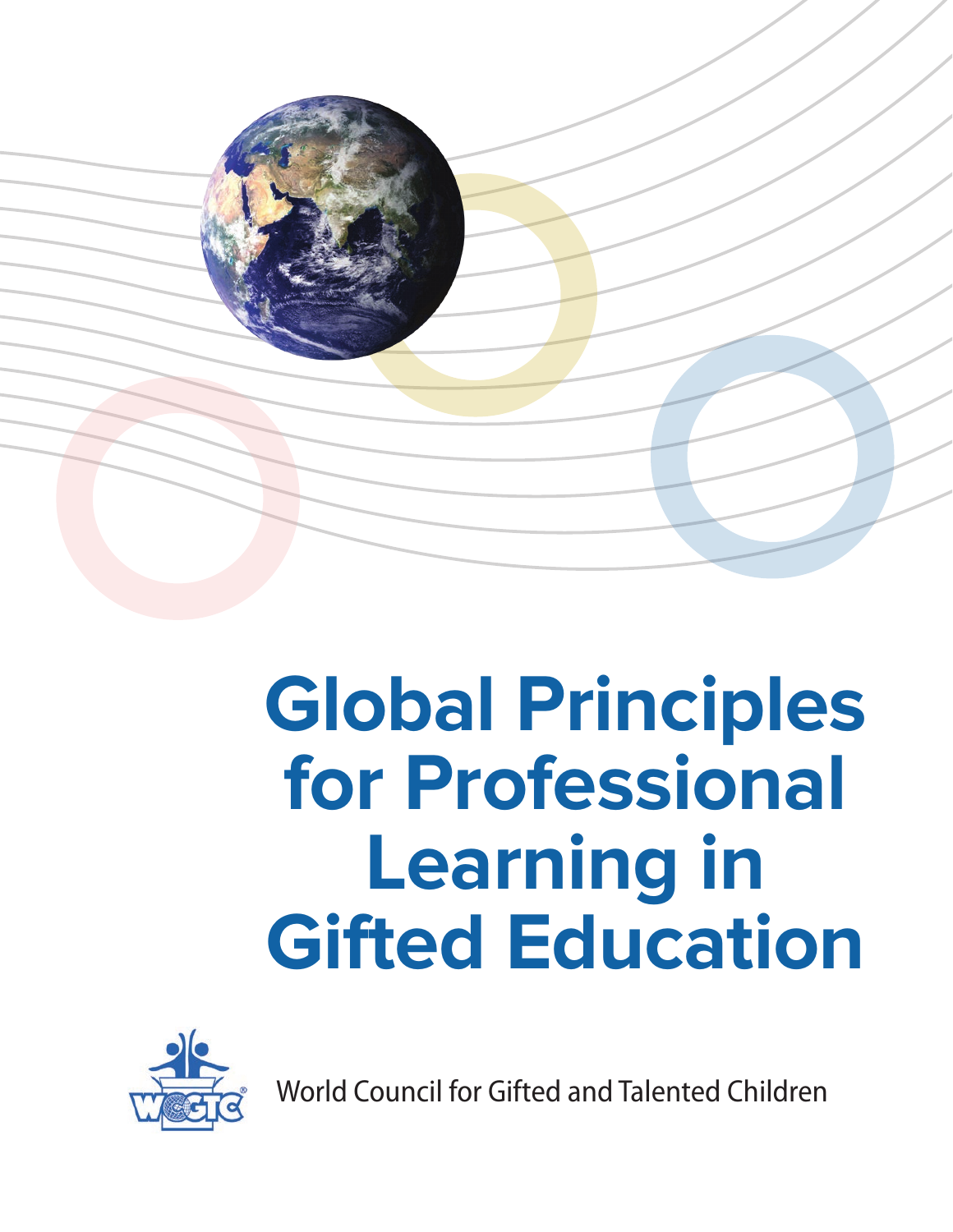

# **Global Principles for Professional Learning in Gifted Education**



World Council for Gifted and Talented Children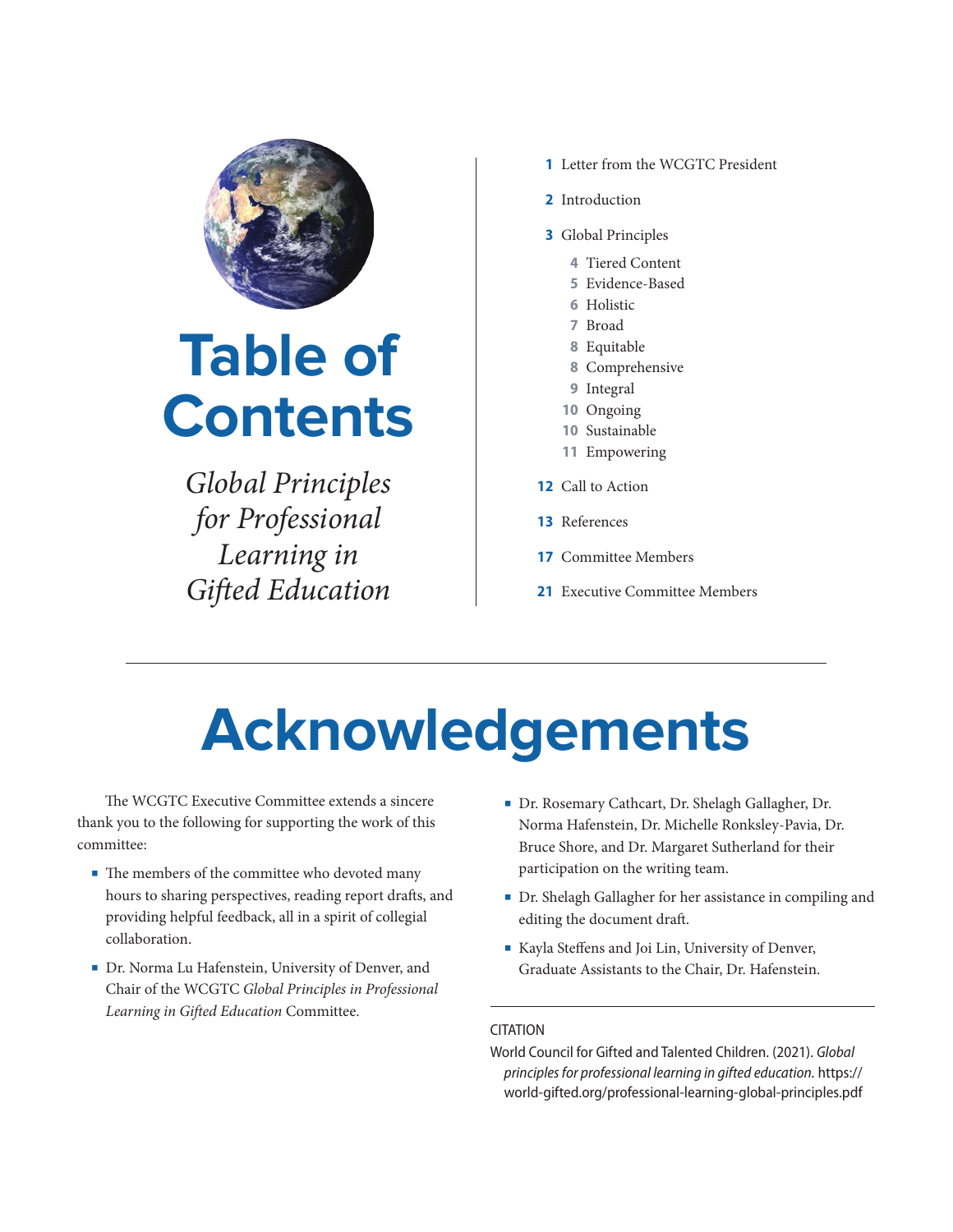

## **Table of Contents**

*Global Principles for Professional Learning in Gi*!*ed Education*

- **1** Letter from the WCGTC President
- **2** Introduction
- **3** Global Principles
	- **4** Tiered Content
	- **5** Evidence-Based
	- **6** Holistic
	- **7** Broad
	- **8** Equitable
	- **8** Comprehensive
	- **9** Integral
	- **10** Ongoing
	- **10** Sustainable
	- **11** Empowering
- **12** Call to Action
- **13** References
- **17** Committee Members
- **21** Executive Committee Members

## **Acknowledgements**

The WCGTC Executive Committee extends a sincere thank you to the following for supporting the work of this committee:

- The members of the committee who devoted many hours to sharing perspectives, reading report drafts, and providing helpful feedback, all in a spirit of collegial collaboration.
- Dr. Norma Lu Hafenstein, University of Denver, and Chair of the WCGTC *Global Principles in Professional Learning in Gi*!*ed Education* Committee.
- Dr. Rosemary Cathcart, Dr. Shelagh Gallagher, Dr. Norma Hafenstein, Dr. Michelle Ronksley-Pavia, Dr. Bruce Shore, and Dr. Margaret Sutherland for their participation on the writing team.
- Dr. Shelagh Gallagher for her assistance in compiling and editing the document draft.
- Kayla Steffens and Joi Lin, University of Denver, Graduate Assistants to the Chair, Dr. Hafenstein.

#### CITATION

World Council for Gifted and Talented Children. (2021). *Global principles for professional learning in gifted education.* https:// world-gifted.org/professional-learning-global-principles.pdf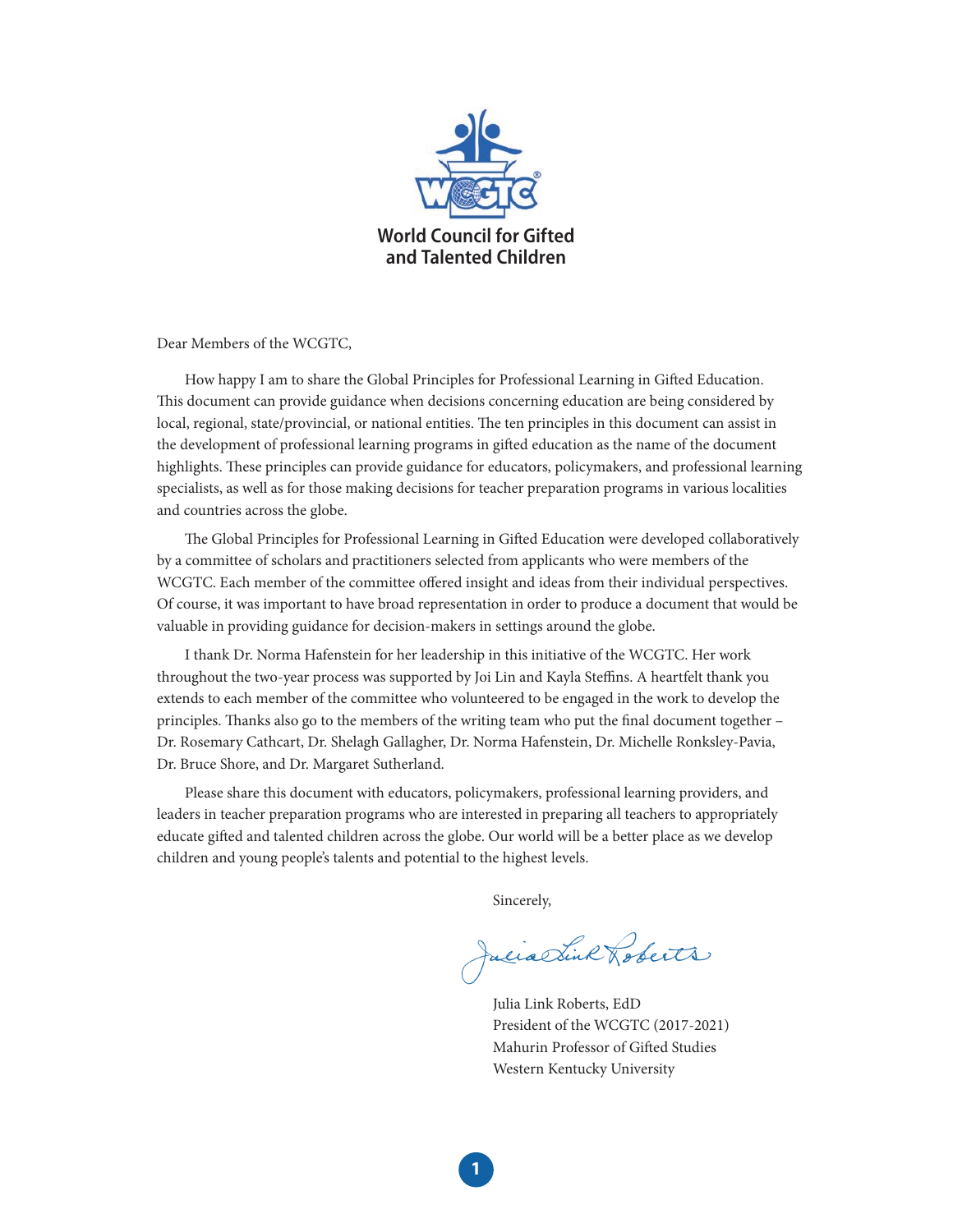

Dear Members of the WCGTC,

How happy I am to share the Global Principles for Professional Learning in Gifted Education. This document can provide guidance when decisions concerning education are being considered by local, regional, state/provincial, or national entities. The ten principles in this document can assist in the development of professional learning programs in gifted education as the name of the document highlights. These principles can provide guidance for educators, policymakers, and professional learning specialists, as well as for those making decisions for teacher preparation programs in various localities and countries across the globe.

The Global Principles for Professional Learning in Gifted Education were developed collaboratively by a committee of scholars and practitioners selected from applicants who were members of the WCGTC. Each member of the committee offered insight and ideas from their individual perspectives. Of course, it was important to have broad representation in order to produce a document that would be valuable in providing guidance for decision-makers in settings around the globe.

I thank Dr. Norma Hafenstein for her leadership in this initiative of the WCGTC. Her work throughout the two-year process was supported by Joi Lin and Kayla Steffins. A heartfelt thank you extends to each member of the committee who volunteered to be engaged in the work to develop the principles. Thanks also go to the members of the writing team who put the final document together – Dr. Rosemary Cathcart, Dr. Shelagh Gallagher, Dr. Norma Hafenstein, Dr. Michelle Ronksley-Pavia, Dr. Bruce Shore, and Dr. Margaret Sutherland.

Please share this document with educators, policymakers, professional learning providers, and leaders in teacher preparation programs who are interested in preparing all teachers to appropriately educate gifted and talented children across the globe. Our world will be a better place as we develop children and young people's talents and potential to the highest levels.

Sincerely,

Julia Link Roberts

Julia Link Roberts, EdD President of the WCGTC (2017-2021) Mahurin Professor of Gifted Studies Western Kentucky University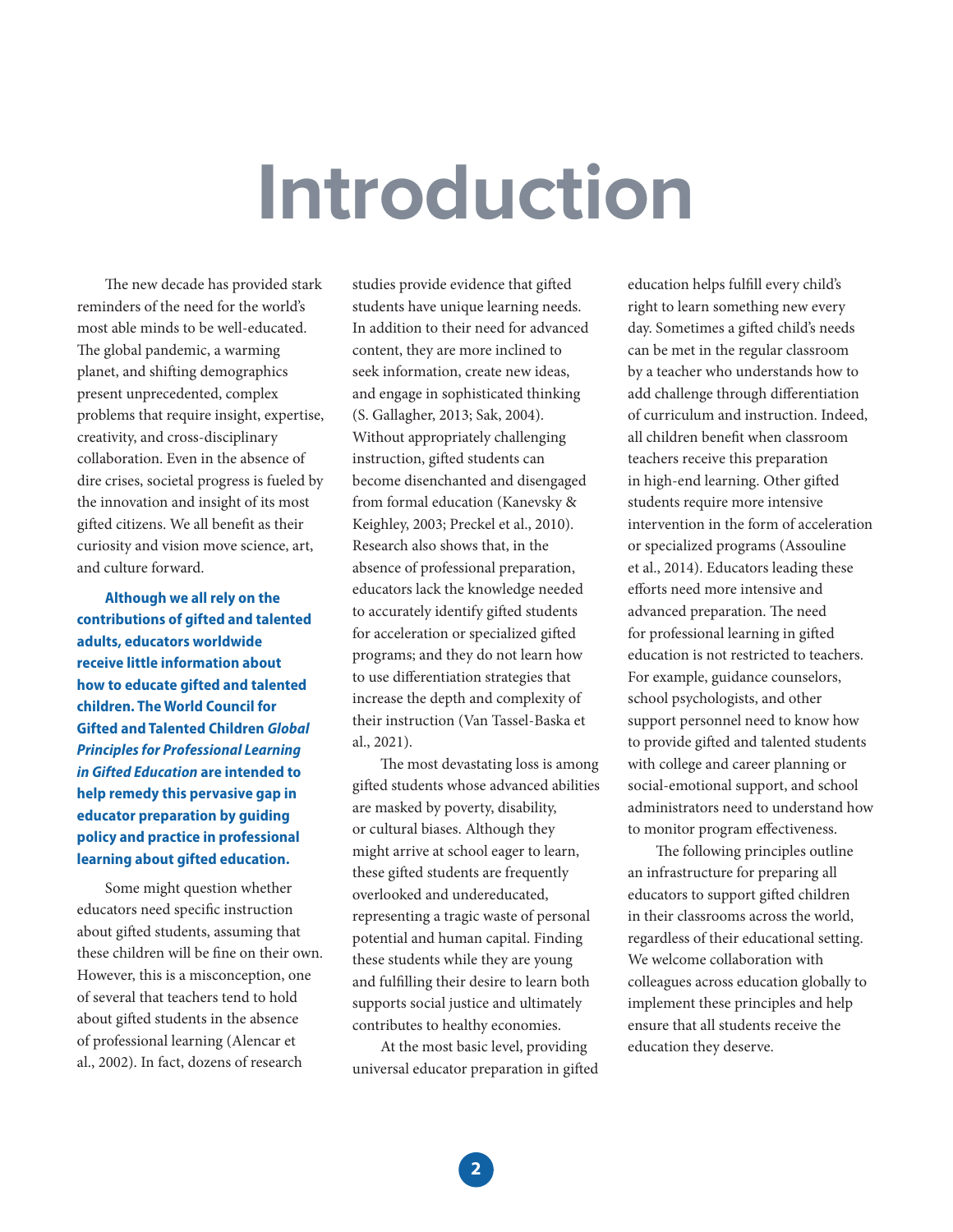## **Introduction**

The new decade has provided stark reminders of the need for the world's most able minds to be well-educated. The global pandemic, a warming planet, and shifting demographics present unprecedented, complex problems that require insight, expertise, creativity, and cross-disciplinary collaboration. Even in the absence of dire crises, societal progress is fueled by the innovation and insight of its most gifted citizens. We all benefit as their curiosity and vision move science, art, and culture forward.

**Although we all rely on the contributions of gifted and talented adults, educators worldwide receive little information about how to educate gifted and talented children. The World Council for Gifted and Talented Children** *Global Principles for Professional Learning in Gifted Education* **are intended to help remedy this pervasive gap in educator preparation by guiding policy and practice in professional learning about gifted education.**

Some might question whether educators need specific instruction about gifted students, assuming that these children will be fine on their own. However, this is a misconception, one of several that teachers tend to hold about gifted students in the absence of professional learning (Alencar et al., 2002). In fact, dozens of research

studies provide evidence that gifted students have unique learning needs. In addition to their need for advanced content, they are more inclined to seek information, create new ideas, and engage in sophisticated thinking (S. Gallagher, 2013; Sak, 2004). Without appropriately challenging instruction, gifted students can become disenchanted and disengaged from formal education (Kanevsky & Keighley, 2003; Preckel et al., 2010). Research also shows that, in the absence of professional preparation, educators lack the knowledge needed to accurately identify gifted students for acceleration or specialized gifted programs; and they do not learn how to use differentiation strategies that increase the depth and complexity of their instruction (Van Tassel-Baska et al., 2021).

The most devastating loss is among gifted students whose advanced abilities are masked by poverty, disability, or cultural biases. Although they might arrive at school eager to learn, these gifted students are frequently overlooked and undereducated, representing a tragic waste of personal potential and human capital. Finding these students while they are young and fulfilling their desire to learn both supports social justice and ultimately contributes to healthy economies.

At the most basic level, providing universal educator preparation in gifted education helps fulfill every child's right to learn something new every day. Sometimes a gifted child's needs can be met in the regular classroom by a teacher who understands how to add challenge through differentiation of curriculum and instruction. Indeed, all children benefit when classroom teachers receive this preparation in high-end learning. Other gifted students require more intensive intervention in the form of acceleration or specialized programs (Assouline et al., 2014). Educators leading these efforts need more intensive and advanced preparation. The need for professional learning in gifted education is not restricted to teachers. For example, guidance counselors, school psychologists, and other support personnel need to know how to provide gifted and talented students with college and career planning or social-emotional support, and school administrators need to understand how to monitor program effectiveness.

The following principles outline an infrastructure for preparing all educators to support gifted children in their classrooms across the world, regardless of their educational setting. We welcome collaboration with colleagues across education globally to implement these principles and help ensure that all students receive the education they deserve.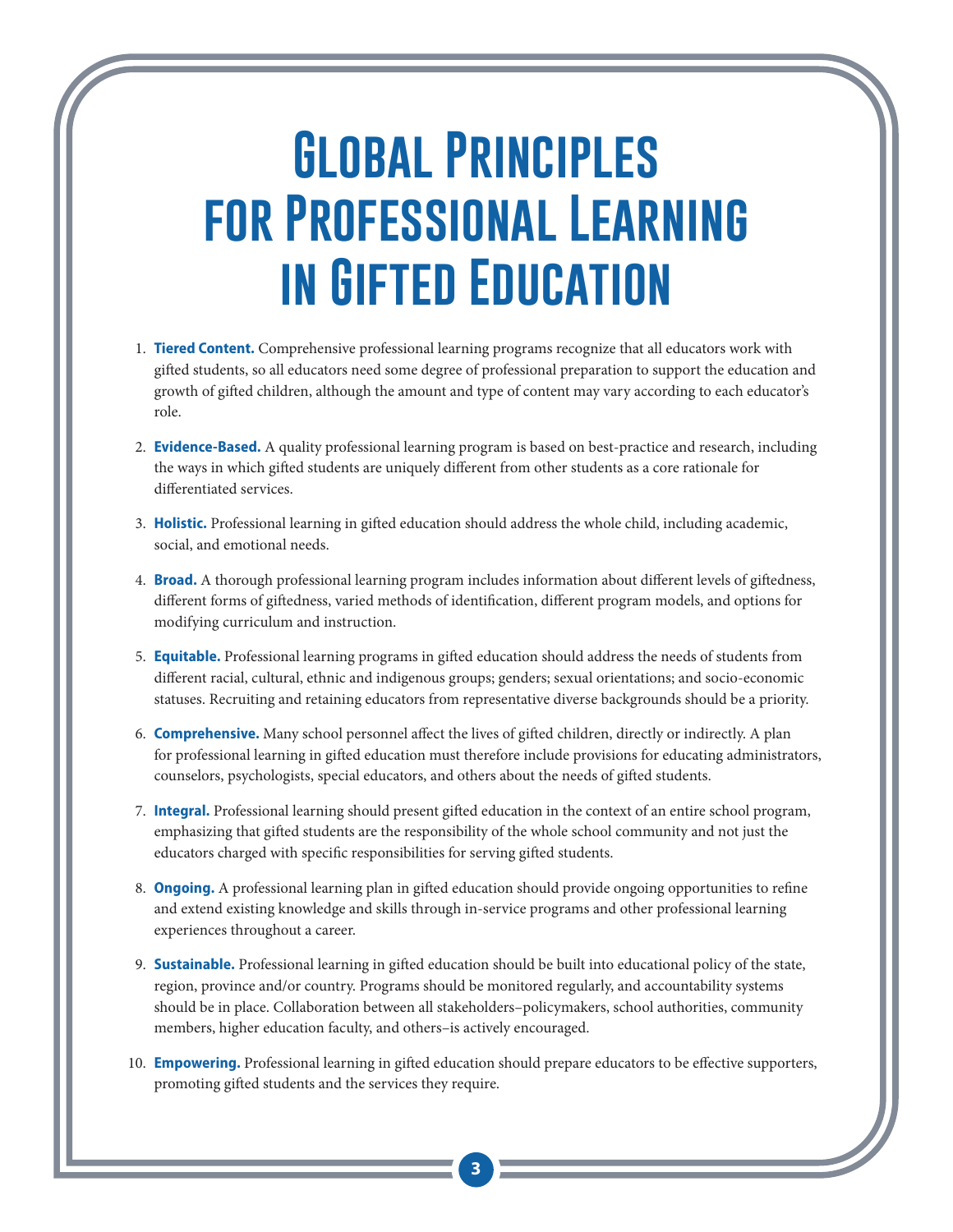## **Global Principles for Professional Learning in Gifted Education**

- 1. **Tiered Content.** Comprehensive professional learning programs recognize that all educators work with gifted students, so all educators need some degree of professional preparation to support the education and growth of gifted children, although the amount and type of content may vary according to each educator's role.
- 2. **Evidence-Based.** A quality professional learning program is based on best-practice and research, including the ways in which gifted students are uniquely different from other students as a core rationale for differentiated services.
- 3. Holistic. Professional learning in gifted education should address the whole child, including academic, social, and emotional needs.
- 4. **Broad.** A thorough professional learning program includes information about different levels of giftedness, different forms of giftedness, varied methods of identification, different program models, and options for modifying curriculum and instruction.
- 5. **Equitable.** Professional learning programs in gifted education should address the needs of students from different racial, cultural, ethnic and indigenous groups; genders; sexual orientations; and socio-economic statuses. Recruiting and retaining educators from representative diverse backgrounds should be a priority.
- 6. **Comprehensive.** Many school personnel affect the lives of gifted children, directly or indirectly. A plan for professional learning in gifted education must therefore include provisions for educating administrators, counselors, psychologists, special educators, and others about the needs of gifted students.
- 7. **Integral.** Professional learning should present gifted education in the context of an entire school program, emphasizing that gifted students are the responsibility of the whole school community and not just the educators charged with specific responsibilities for serving gifted students.
- 8. **Ongoing.** A professional learning plan in gifted education should provide ongoing opportunities to refine and extend existing knowledge and skills through in-service programs and other professional learning experiences throughout a career.
- 9. **Sustainable.** Professional learning in gifted education should be built into educational policy of the state, region, province and/or country. Programs should be monitored regularly, and accountability systems should be in place. Collaboration between all stakeholders–policymakers, school authorities, community members, higher education faculty, and others–is actively encouraged.
- 10. **Empowering.** Professional learning in gifted education should prepare educators to be effective supporters, promoting gifted students and the services they require.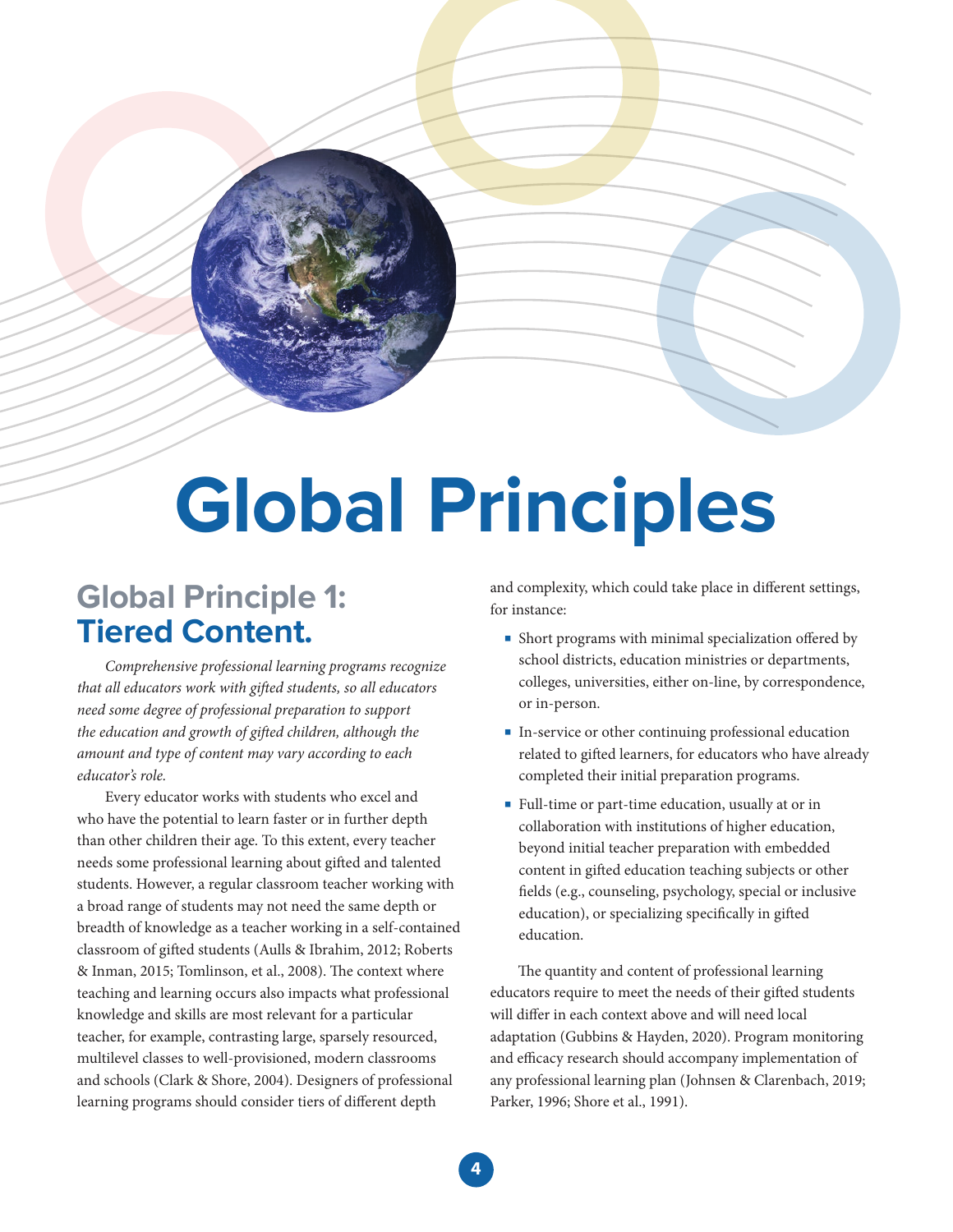# **Global Principles**

## **Global Principle 1: Tiered Content.**

*Comprehensive professional learning programs recognize that all educators work with gi*!*ed students, so all educators need some degree of professional preparation to support the education and growth of gifted children, although the amount and type of content may vary according to each educator's role.*

Every educator works with students who excel and who have the potential to learn faster or in further depth than other children their age. To this extent, every teacher needs some professional learning about gifted and talented students. However, a regular classroom teacher working with a broad range of students may not need the same depth or breadth of knowledge as a teacher working in a self-contained classroom of gifted students (Aulls & Ibrahim, 2012; Roberts & Inman, 2015; Tomlinson, et al., 2008). The context where teaching and learning occurs also impacts what professional knowledge and skills are most relevant for a particular teacher, for example, contrasting large, sparsely resourced, multilevel classes to well-provisioned, modern classrooms and schools (Clark & Shore, 2004). Designers of professional learning programs should consider tiers of different depth

and complexity, which could take place in different settings, for instance:

- Short programs with minimal specialization offered by school districts, education ministries or departments, colleges, universities, either on-line, by correspondence, or in-person.
- In-service or other continuing professional education related to gifted learners, for educators who have already completed their initial preparation programs.
- Full-time or part-time education, usually at or in collaboration with institutions of higher education, beyond initial teacher preparation with embedded content in gifted education teaching subjects or other fields (e.g., counseling, psychology, special or inclusive education), or specializing specifically in gifted education.

The quantity and content of professional learning educators require to meet the needs of their gifted students will differ in each context above and will need local adaptation (Gubbins & Hayden, 2020). Program monitoring and efficacy research should accompany implementation of any professional learning plan (Johnsen & Clarenbach, 2019; Parker, 1996; Shore et al., 1991).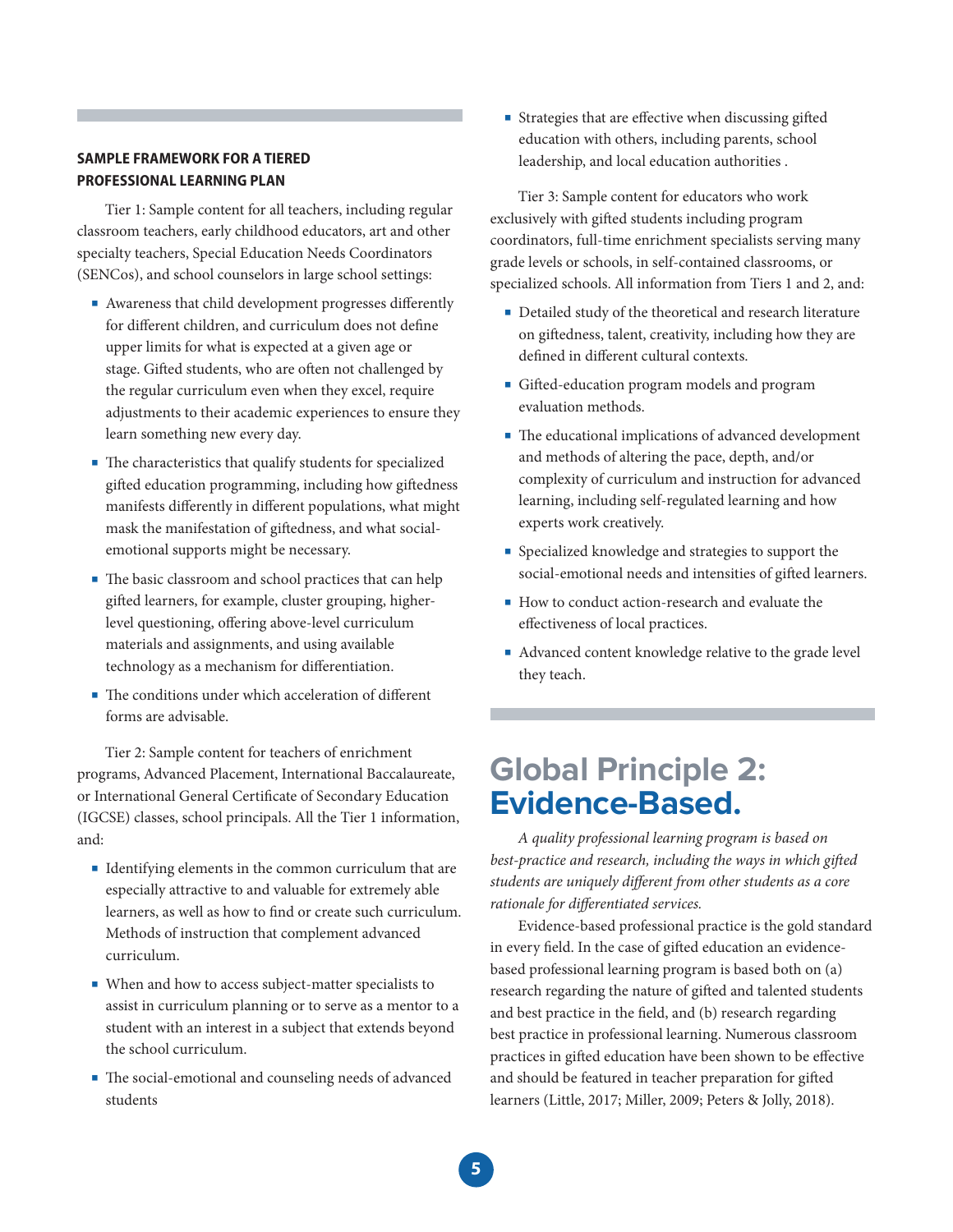#### **SAMPLE FRAMEWORK FOR A TIERED PROFESSIONAL LEARNING PLAN**

Tier 1: Sample content for all teachers, including regular classroom teachers, early childhood educators, art and other specialty teachers, Special Education Needs Coordinators (SENCos), and school counselors in large school settings:

- Awareness that child development progresses differently for different children, and curriculum does not define upper limits for what is expected at a given age or stage. Gifted students, who are often not challenged by the regular curriculum even when they excel, require adjustments to their academic experiences to ensure they learn something new every day.
- The characteristics that qualify students for specialized gifted education programming, including how giftedness manifests differently in different populations, what might mask the manifestation of giftedness, and what socialemotional supports might be necessary.
- The basic classroom and school practices that can help gifted learners, for example, cluster grouping, higherlevel questioning, offering above-level curriculum materials and assignments, and using available technology as a mechanism for differentiation.
- The conditions under which acceleration of different forms are advisable.

Tier 2: Sample content for teachers of enrichment programs, Advanced Placement, International Baccalaureate, or International General Certificate of Secondary Education (IGCSE) classes, school principals. All the Tier 1 information, and:

- Identifying elements in the common curriculum that are especially attractive to and valuable for extremely able learners, as well as how to find or create such curriculum. Methods of instruction that complement advanced curriculum.
- When and how to access subject-matter specialists to assist in curriculum planning or to serve as a mentor to a student with an interest in a subject that extends beyond the school curriculum.
- The social-emotional and counseling needs of advanced students

■ Strategies that are effective when discussing gifted education with others, including parents, school leadership, and local education authorities .

Tier 3: Sample content for educators who work exclusively with gifted students including program coordinators, full-time enrichment specialists serving many grade levels or schools, in self-contained classrooms, or specialized schools. All information from Tiers 1 and 2, and:

- Detailed study of the theoretical and research literature on giftedness, talent, creativity, including how they are defined in different cultural contexts.
- Gifted-education program models and program evaluation methods.
- The educational implications of advanced development and methods of altering the pace, depth, and/or complexity of curriculum and instruction for advanced learning, including self-regulated learning and how experts work creatively.
- Specialized knowledge and strategies to support the social-emotional needs and intensities of gifted learners.
- How to conduct action-research and evaluate the effectiveness of local practices.
- Advanced content knowledge relative to the grade level they teach.

### **Global Principle 2: Evidence-Based.**

*A quality professional learning program is based on best-practice and research, including the ways in which gifted students are uniquely di*"*erent from other students as a core*   $rational$ *e* for differentiated services.

Evidence-based professional practice is the gold standard in every field. In the case of gifted education an evidencebased professional learning program is based both on (a) research regarding the nature of gifted and talented students and best practice in the field, and (b) research regarding best practice in professional learning. Numerous classroom practices in gifted education have been shown to be effective and should be featured in teacher preparation for gifted learners (Little, 2017; Miller, 2009; Peters & Jolly, 2018).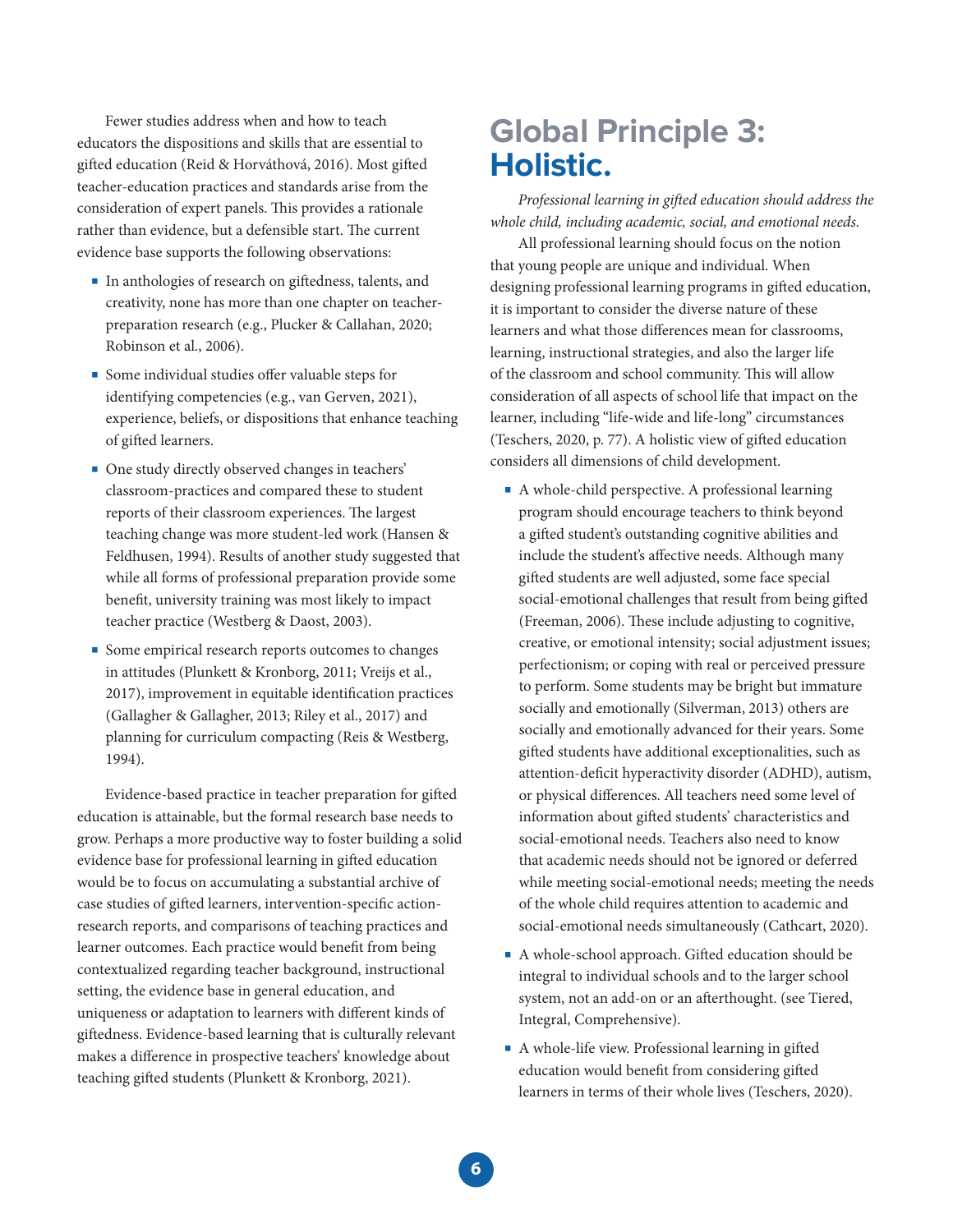Fewer studies address when and how to teach educators the dispositions and skills that are essential to gifted education (Reid & Horváthová, 2016). Most gifted teacher-education practices and standards arise from the consideration of expert panels. This provides a rationale rather than evidence, but a defensible start. The current evidence base supports the following observations:

- In anthologies of research on giftedness, talents, and creativity, none has more than one chapter on teacherpreparation research (e.g., Plucker & Callahan, 2020; Robinson et al., 2006).
- Some individual studies offer valuable steps for identifying competencies (e.g., van Gerven, 2021), experience, beliefs, or dispositions that enhance teaching of gifted learners.
- One study directly observed changes in teachers' classroom-practices and compared these to student reports of their classroom experiences. The largest teaching change was more student-led work (Hansen & Feldhusen, 1994). Results of another study suggested that while all forms of professional preparation provide some benefit, university training was most likely to impact teacher practice (Westberg & Daost, 2003).
- Some empirical research reports outcomes to changes in attitudes (Plunkett & Kronborg, 2011; Vreijs et al., 2017), improvement in equitable identification practices (Gallagher & Gallagher, 2013; Riley et al., 2017) and planning for curriculum compacting (Reis & Westberg, 1994).

Evidence-based practice in teacher preparation for gifted education is attainable, but the formal research base needs to grow. Perhaps a more productive way to foster building a solid evidence base for professional learning in gifted education would be to focus on accumulating a substantial archive of case studies of gifted learners, intervention-specific actionresearch reports, and comparisons of teaching practices and learner outcomes. Each practice would benefit from being contextualized regarding teacher background, instructional setting, the evidence base in general education, and uniqueness or adaptation to learners with different kinds of giftedness. Evidence-based learning that is culturally relevant makes a difference in prospective teachers' knowledge about teaching gifted students (Plunkett & Kronborg, 2021).

## **Global Principle 3: Holistic.**

*Professional learning in gifted education should address the whole child, including academic, social, and emotional needs.*

All professional learning should focus on the notion that young people are unique and individual. When designing professional learning programs in gifted education, it is important to consider the diverse nature of these learners and what those differences mean for classrooms, learning, instructional strategies, and also the larger life of the classroom and school community. This will allow consideration of all aspects of school life that impact on the learner, including "life-wide and life-long" circumstances (Teschers, 2020, p. 77). A holistic view of gifted education considers all dimensions of child development.

- A whole-child perspective. A professional learning program should encourage teachers to think beyond a gifted student's outstanding cognitive abilities and include the student's affective needs. Although many gifted students are well adjusted, some face special social-emotional challenges that result from being gifted (Freeman, 2006). These include adjusting to cognitive, creative, or emotional intensity; social adjustment issues; perfectionism; or coping with real or perceived pressure to perform. Some students may be bright but immature socially and emotionally (Silverman, 2013) others are socially and emotionally advanced for their years. Some gifted students have additional exceptionalities, such as attention-deficit hyperactivity disorder (ADHD), autism, or physical differences. All teachers need some level of information about gifted students' characteristics and social-emotional needs. Teachers also need to know that academic needs should not be ignored or deferred while meeting social-emotional needs; meeting the needs of the whole child requires attention to academic and social-emotional needs simultaneously (Cathcart, 2020).
- A whole-school approach. Gifted education should be integral to individual schools and to the larger school system, not an add-on or an afterthought. (see Tiered, Integral, Comprehensive).
- A whole-life view. Professional learning in gifted education would benefit from considering gifted learners in terms of their whole lives (Teschers, 2020).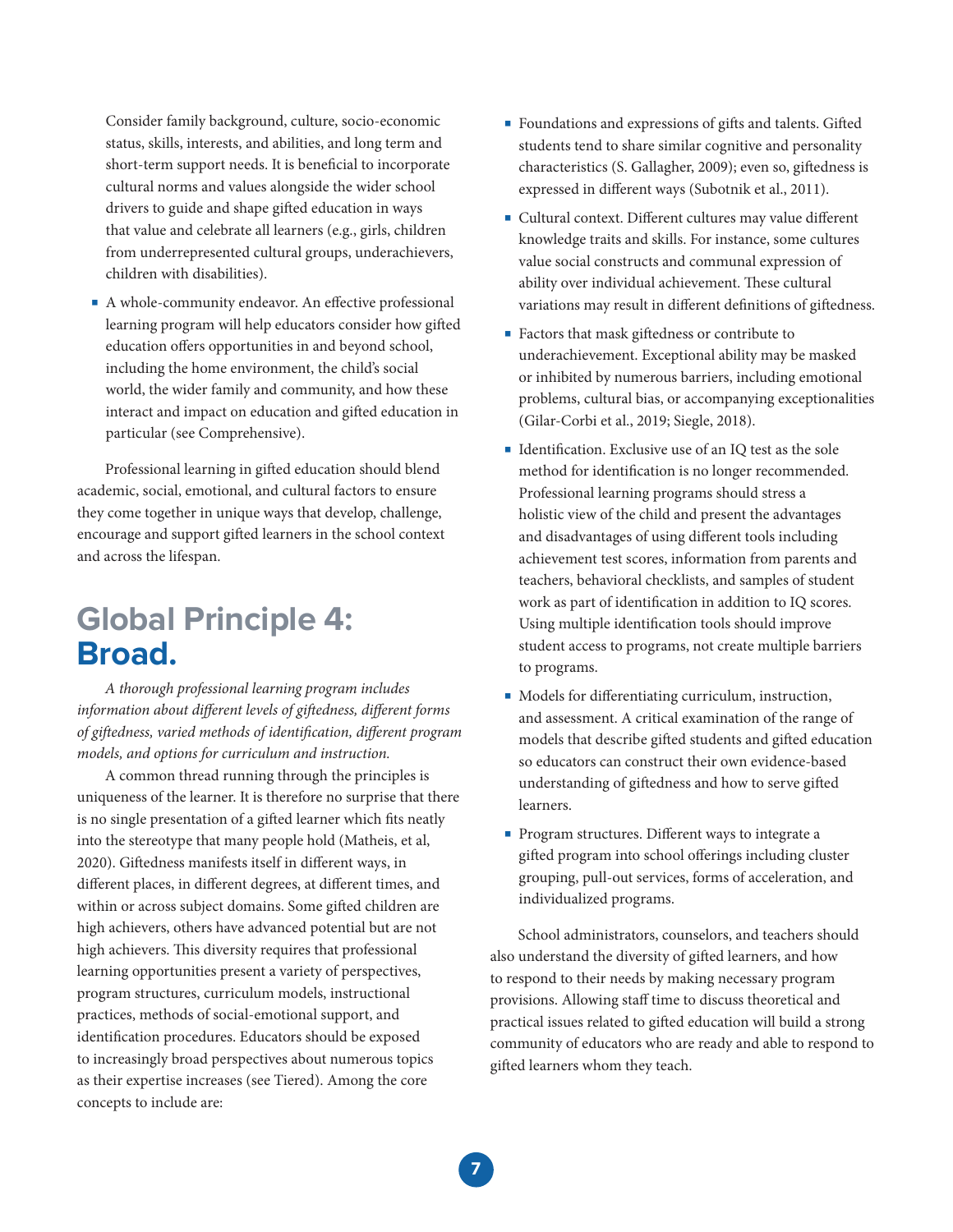Consider family background, culture, socio-economic status, skills, interests, and abilities, and long term and short-term support needs. It is beneficial to incorporate cultural norms and values alongside the wider school drivers to guide and shape gifted education in ways that value and celebrate all learners (e.g., girls, children from underrepresented cultural groups, underachievers, children with disabilities).

■ A whole-community endeavor. An effective professional learning program will help educators consider how gifted education offers opportunities in and beyond school, including the home environment, the child's social world, the wider family and community, and how these interact and impact on education and gifted education in particular (see Comprehensive).

Professional learning in gifted education should blend academic, social, emotional, and cultural factors to ensure they come together in unique ways that develop, challenge, encourage and support gifted learners in the school context and across the lifespan.

### **Global Principle 4: Broad.**

*A thorough professional learning program includes information about different levels of giftedness, different forms of gi*!*edness, varied methods of identi*#*cation, di*"*erent program models, and options for curriculum and instruction.*

A common thread running through the principles is uniqueness of the learner. It is therefore no surprise that there is no single presentation of a gifted learner which fits neatly into the stereotype that many people hold (Matheis, et al, 2020). Giftedness manifests itself in different ways, in different places, in different degrees, at different times, and within or across subject domains. Some gifted children are high achievers, others have advanced potential but are not high achievers. This diversity requires that professional learning opportunities present a variety of perspectives, program structures, curriculum models, instructional practices, methods of social-emotional support, and identification procedures. Educators should be exposed to increasingly broad perspectives about numerous topics as their expertise increases (see Tiered). Among the core concepts to include are:

- Foundations and expressions of gifts and talents. Gifted students tend to share similar cognitive and personality characteristics (S. Gallagher, 2009); even so, giftedness is expressed in different ways (Subotnik et al., 2011).
- Cultural context. Different cultures may value different knowledge traits and skills. For instance, some cultures value social constructs and communal expression of ability over individual achievement. These cultural variations may result in different definitions of giftedness.
- Factors that mask giftedness or contribute to underachievement. Exceptional ability may be masked or inhibited by numerous barriers, including emotional problems, cultural bias, or accompanying exceptionalities (Gilar-Corbi et al., 2019; Siegle, 2018).
- Identification. Exclusive use of an IQ test as the sole method for identification is no longer recommended. Professional learning programs should stress a holistic view of the child and present the advantages and disadvantages of using different tools including achievement test scores, information from parents and teachers, behavioral checklists, and samples of student work as part of identification in addition to IQ scores. Using multiple identification tools should improve student access to programs, not create multiple barriers to programs.
- Models for differentiating curriculum, instruction, and assessment. A critical examination of the range of models that describe gifted students and gifted education so educators can construct their own evidence-based understanding of giftedness and how to serve gifted learners.
- Program structures. Different ways to integrate a gifted program into school offerings including cluster grouping, pull-out services, forms of acceleration, and individualized programs.

School administrators, counselors, and teachers should also understand the diversity of gifted learners, and how to respond to their needs by making necessary program provisions. Allowing staff time to discuss theoretical and practical issues related to gifted education will build a strong community of educators who are ready and able to respond to gifted learners whom they teach.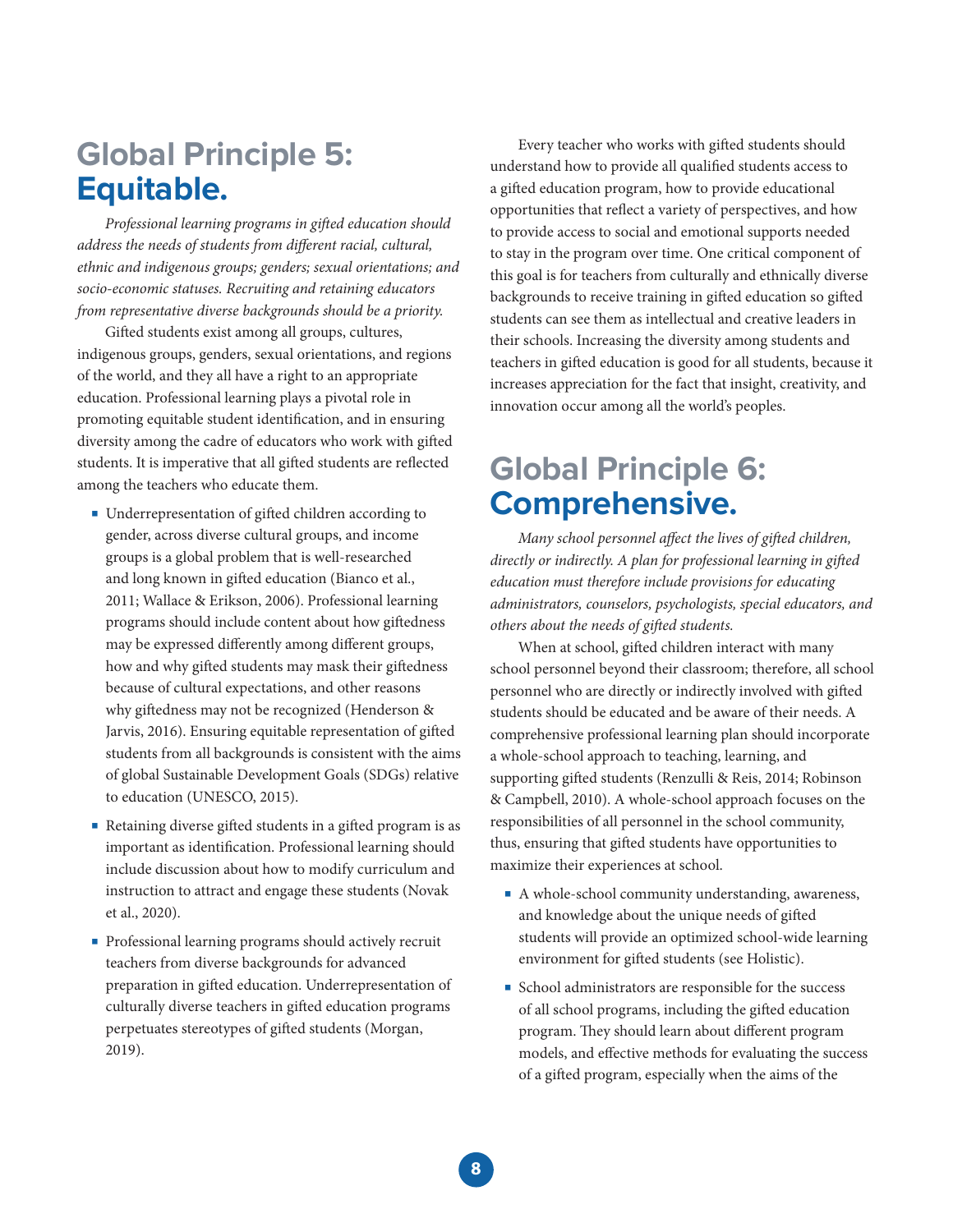## **Global Principle 5: Equitable.**

**Professional learning programs in gifted education should** *address the needs of students from different racial, cultural, ethnic and indigenous groups; genders; sexual orientations; and socio-economic statuses. Recruiting and retaining educators from representative diverse backgrounds should be a priority.*

Gifted students exist among all groups, cultures, indigenous groups, genders, sexual orientations, and regions of the world, and they all have a right to an appropriate education. Professional learning plays a pivotal role in promoting equitable student identification, and in ensuring diversity among the cadre of educators who work with gifted students. It is imperative that all gifted students are reflected among the teachers who educate them.

- Underrepresentation of gifted children according to gender, across diverse cultural groups, and income groups is a global problem that is well-researched and long known in gifted education (Bianco et al., 2011; Wallace & Erikson, 2006). Professional learning programs should include content about how giftedness may be expressed differently among different groups, how and why gifted students may mask their giftedness because of cultural expectations, and other reasons why giftedness may not be recognized (Henderson & Jarvis, 2016). Ensuring equitable representation of gifted students from all backgrounds is consistent with the aims of global Sustainable Development Goals (SDGs) relative to education (UNESCO, 2015).
- Retaining diverse gifted students in a gifted program is as important as identification. Professional learning should include discussion about how to modify curriculum and instruction to attract and engage these students (Novak et al., 2020).
- Professional learning programs should actively recruit teachers from diverse backgrounds for advanced preparation in gifted education. Underrepresentation of culturally diverse teachers in gifted education programs perpetuates stereotypes of gifted students (Morgan, 2019).

Every teacher who works with gifted students should understand how to provide all qualified students access to a gifted education program, how to provide educational opportunities that reflect a variety of perspectives, and how to provide access to social and emotional supports needed to stay in the program over time. One critical component of this goal is for teachers from culturally and ethnically diverse backgrounds to receive training in gifted education so gifted students can see them as intellectual and creative leaders in their schools. Increasing the diversity among students and teachers in gifted education is good for all students, because it increases appreciation for the fact that insight, creativity, and innovation occur among all the world's peoples.

### **Global Principle 6: Comprehensive.**

*Many school personnel affect the lives of gifted children, directly or indirectly. A plan for professional learning in gifted education must therefore include provisions for educating administrators, counselors, psychologists, special educators, and others about the needs of gifted students.* 

When at school, gifted children interact with many school personnel beyond their classroom; therefore, all school personnel who are directly or indirectly involved with gifted students should be educated and be aware of their needs. A comprehensive professional learning plan should incorporate a whole-school approach to teaching, learning, and supporting gifted students (Renzulli & Reis, 2014; Robinson & Campbell, 2010). A whole-school approach focuses on the responsibilities of all personnel in the school community, thus, ensuring that gifted students have opportunities to maximize their experiences at school.

- A whole-school community understanding, awareness, and knowledge about the unique needs of gifted students will provide an optimized school-wide learning environment for gifted students (see Holistic).
- School administrators are responsible for the success of all school programs, including the gifted education program. They should learn about different program models, and effective methods for evaluating the success of a gifted program, especially when the aims of the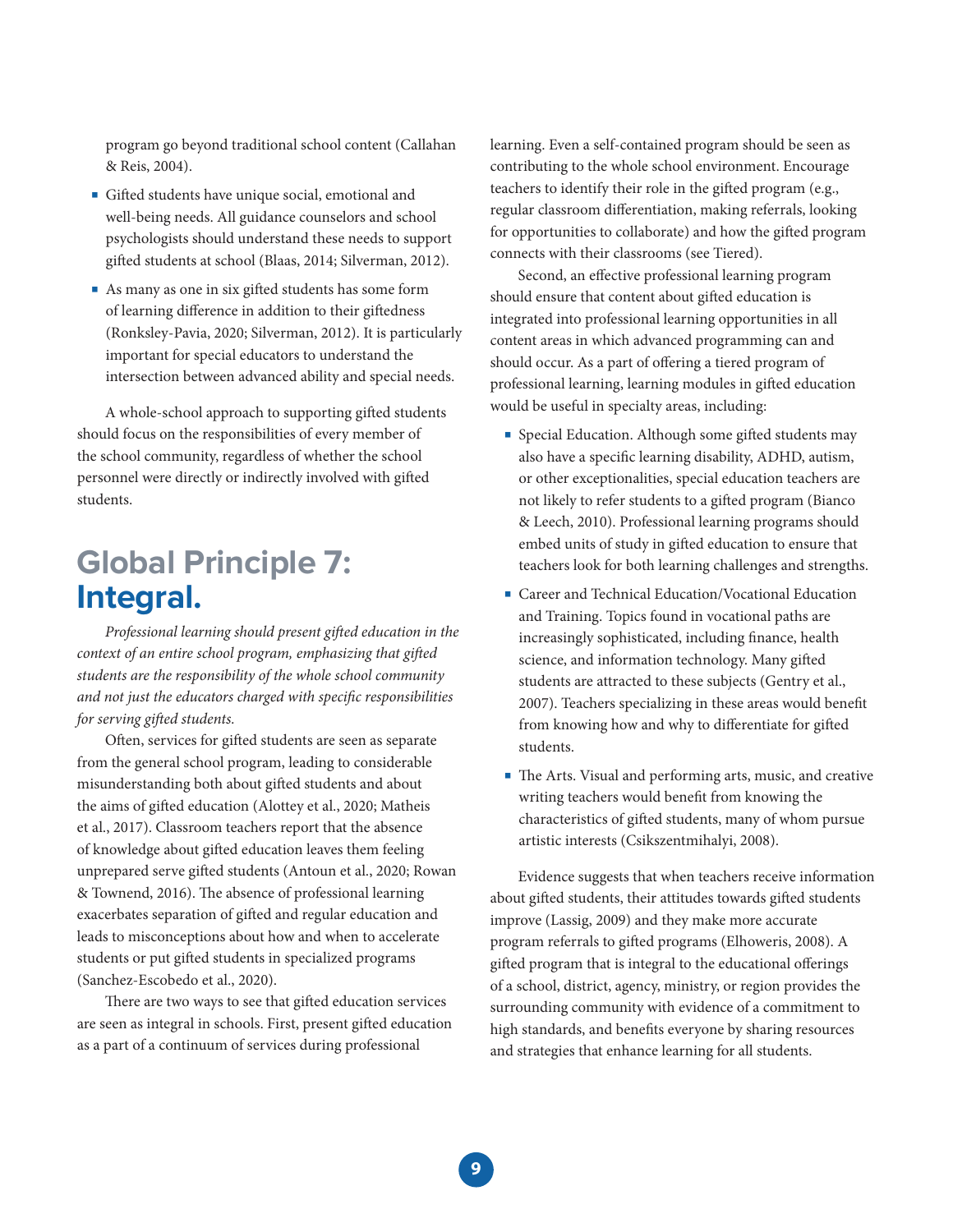program go beyond traditional school content (Callahan & Reis, 2004).

- **Gifted students have unique social, emotional and** well-being needs. All guidance counselors and school psychologists should understand these needs to support gifted students at school (Blaas, 2014; Silverman, 2012).
- As many as one in six gifted students has some form of learning difference in addition to their giftedness (Ronksley-Pavia, 2020; Silverman, 2012). It is particularly important for special educators to understand the intersection between advanced ability and special needs.

A whole-school approach to supporting gifted students should focus on the responsibilities of every member of the school community, regardless of whether the school personnel were directly or indirectly involved with gifted students.

## **Global Principle 7: Integral.**

*Professional learning should present gi*!*ed education in the context of an entire school program, emphasizing that gifted students are the responsibility of the whole school community and not just the educators charged with specific responsibilities for serving gifted students.* 

Often, services for gifted students are seen as separate from the general school program, leading to considerable misunderstanding both about gifted students and about the aims of gifted education (Alottey et al., 2020; Matheis et al., 2017). Classroom teachers report that the absence of knowledge about gifted education leaves them feeling unprepared serve gifted students (Antoun et al., 2020; Rowan & Townend, 2016). The absence of professional learning exacerbates separation of gifted and regular education and leads to misconceptions about how and when to accelerate students or put gifted students in specialized programs (Sanchez-Escobedo et al., 2020).

There are two ways to see that gifted education services are seen as integral in schools. First, present gifted education as a part of a continuum of services during professional

learning. Even a self-contained program should be seen as contributing to the whole school environment. Encourage teachers to identify their role in the gifted program (e.g., regular classroom differentiation, making referrals, looking for opportunities to collaborate) and how the gifted program connects with their classrooms (see Tiered).

Second, an effective professional learning program should ensure that content about gifted education is integrated into professional learning opportunities in all content areas in which advanced programming can and should occur. As a part of offering a tiered program of professional learning, learning modules in gifted education would be useful in specialty areas, including:

- Special Education. Although some gifted students may also have a specific learning disability, ADHD, autism, or other exceptionalities, special education teachers are not likely to refer students to a gifted program (Bianco) & Leech, 2010). Professional learning programs should embed units of study in gifted education to ensure that teachers look for both learning challenges and strengths.
- Career and Technical Education/Vocational Education and Training. Topics found in vocational paths are increasingly sophisticated, including finance, health science, and information technology. Many gifted students are attracted to these subjects (Gentry et al., 2007). Teachers specializing in these areas would benefit from knowing how and why to differentiate for gifted students.
- The Arts. Visual and performing arts, music, and creative writing teachers would benefit from knowing the characteristics of gifted students, many of whom pursue artistic interests (Csikszentmihalyi, 2008).

Evidence suggests that when teachers receive information about gifted students, their attitudes towards gifted students improve (Lassig, 2009) and they make more accurate program referrals to gifted programs (Elhoweris, 2008). A gifted program that is integral to the educational offerings of a school, district, agency, ministry, or region provides the surrounding community with evidence of a commitment to high standards, and benefits everyone by sharing resources and strategies that enhance learning for all students.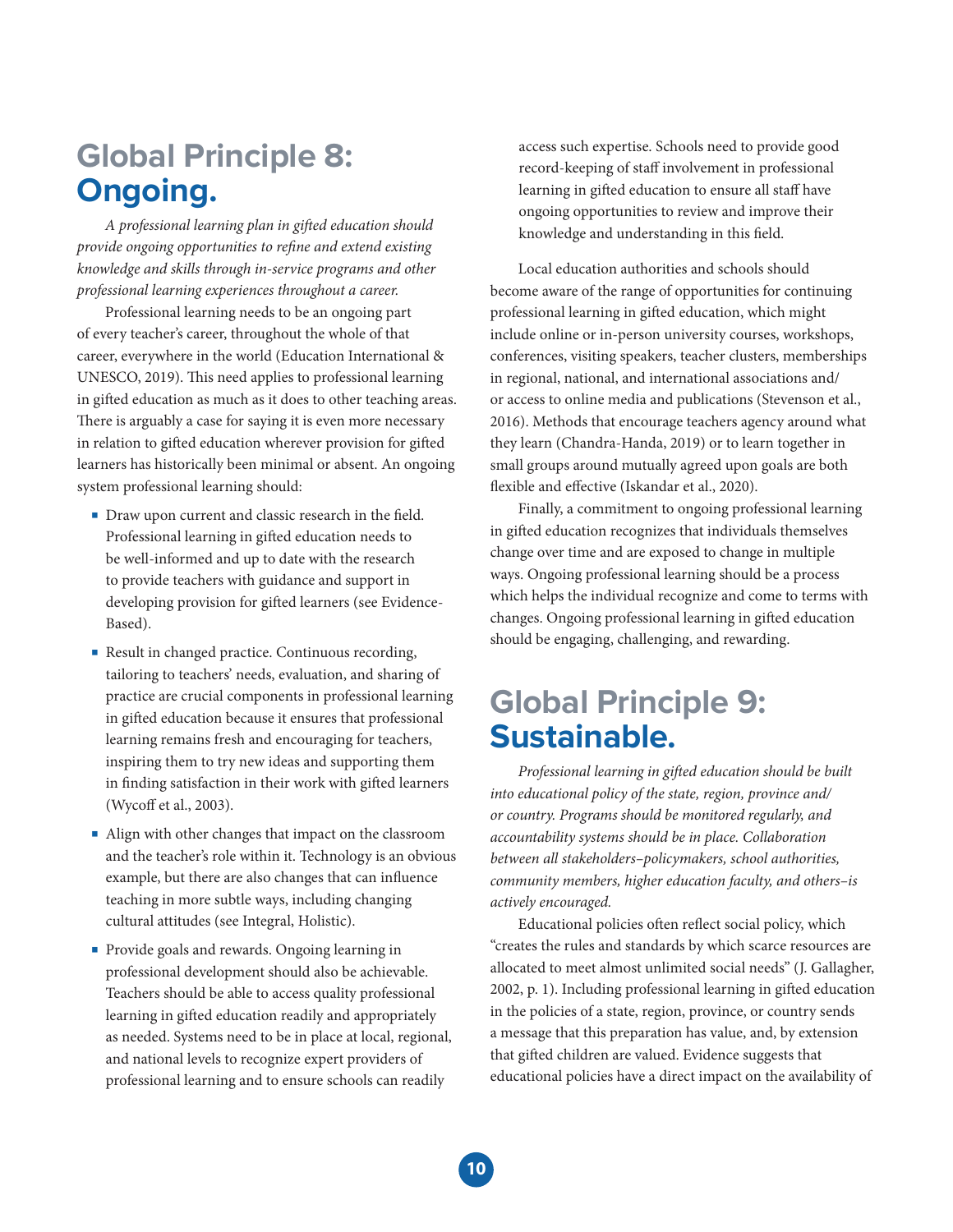## **Global Principle 8: Ongoing.**

*A professional learning plan in gi*!*ed education should provide ongoing opportunities to refine and extend existing knowledge and skills through in-service programs and other professional learning experiences throughout a career.*

Professional learning needs to be an ongoing part of every teacher's career, throughout the whole of that career, everywhere in the world (Education International & UNESCO, 2019). This need applies to professional learning in gifted education as much as it does to other teaching areas. There is arguably a case for saying it is even more necessary in relation to gifted education wherever provision for gifted learners has historically been minimal or absent. An ongoing system professional learning should:

- Draw upon current and classic research in the field. Professional learning in gifted education needs to be well-informed and up to date with the research to provide teachers with guidance and support in developing provision for gifted learners (see Evidence-Based).
- Result in changed practice. Continuous recording, tailoring to teachers' needs, evaluation, and sharing of practice are crucial components in professional learning in gifted education because it ensures that professional learning remains fresh and encouraging for teachers, inspiring them to try new ideas and supporting them in finding satisfaction in their work with gifted learners (Wycoff et al., 2003).
- Align with other changes that impact on the classroom and the teacher's role within it. Technology is an obvious example, but there are also changes that can influence teaching in more subtle ways, including changing cultural attitudes (see Integral, Holistic).
- Provide goals and rewards. Ongoing learning in professional development should also be achievable. Teachers should be able to access quality professional learning in gifted education readily and appropriately as needed. Systems need to be in place at local, regional, and national levels to recognize expert providers of professional learning and to ensure schools can readily

access such expertise. Schools need to provide good record-keeping of staff involvement in professional learning in gifted education to ensure all staff have ongoing opportunities to review and improve their knowledge and understanding in this field.

Local education authorities and schools should become aware of the range of opportunities for continuing professional learning in gifted education, which might include online or in-person university courses, workshops, conferences, visiting speakers, teacher clusters, memberships in regional, national, and international associations and/ or access to online media and publications (Stevenson et al., 2016). Methods that encourage teachers agency around what they learn (Chandra-Handa, 2019) or to learn together in small groups around mutually agreed upon goals are both flexible and effective (Iskandar et al., 2020).

Finally, a commitment to ongoing professional learning in gifted education recognizes that individuals themselves change over time and are exposed to change in multiple ways. Ongoing professional learning should be a process which helps the individual recognize and come to terms with changes. Ongoing professional learning in gifted education should be engaging, challenging, and rewarding.

## **Global Principle 9: Sustainable.**

*Professional learning in gi*!*ed education should be built into educational policy of the state, region, province and/ or country. Programs should be monitored regularly, and accountability systems should be in place. Collaboration between all stakeholders–policymakers, school authorities, community members, higher education faculty, and others–is actively encouraged.*

Educational policies often reflect social policy, which "creates the rules and standards by which scarce resources are allocated to meet almost unlimited social needs" (J. Gallagher, 2002, p. 1). Including professional learning in gifted education in the policies of a state, region, province, or country sends a message that this preparation has value, and, by extension that gifted children are valued. Evidence suggests that educational policies have a direct impact on the availability of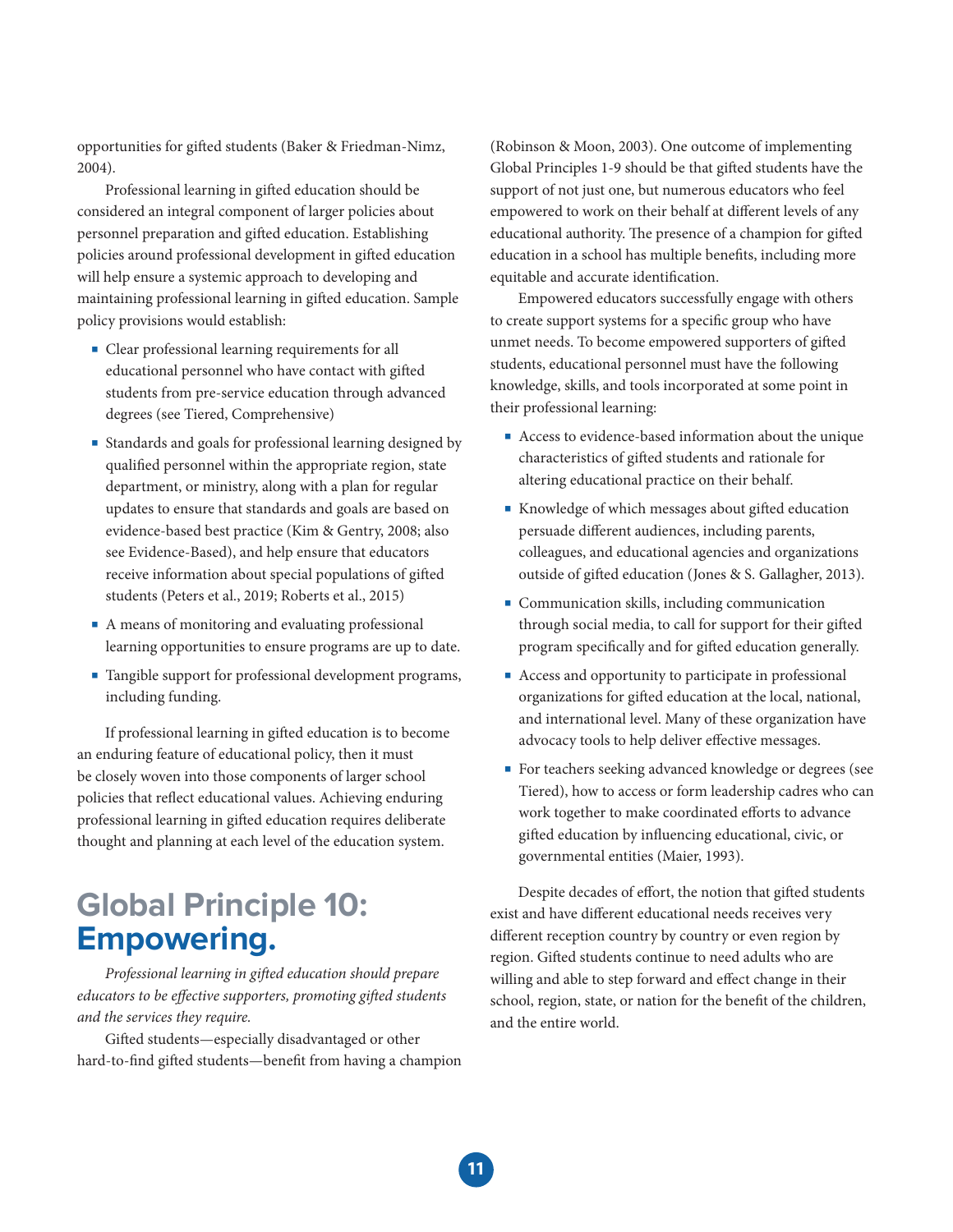opportunities for gifted students (Baker & Friedman-Nimz, 2004).

Professional learning in gifted education should be considered an integral component of larger policies about personnel preparation and gifted education. Establishing policies around professional development in gifted education will help ensure a systemic approach to developing and maintaining professional learning in gifted education. Sample policy provisions would establish:

- Clear professional learning requirements for all educational personnel who have contact with gifted students from pre-service education through advanced degrees (see Tiered, Comprehensive)
- Standards and goals for professional learning designed by qualified personnel within the appropriate region, state department, or ministry, along with a plan for regular updates to ensure that standards and goals are based on evidence-based best practice (Kim & Gentry, 2008; also see Evidence-Based), and help ensure that educators receive information about special populations of gifted students (Peters et al., 2019; Roberts et al., 2015)
- A means of monitoring and evaluating professional learning opportunities to ensure programs are up to date.
- Tangible support for professional development programs, including funding.

If professional learning in gifted education is to become an enduring feature of educational policy, then it must be closely woven into those components of larger school policies that reflect educational values. Achieving enduring professional learning in gifted education requires deliberate thought and planning at each level of the education system.

## **Global Principle 10: Empowering.**

*Professional learning in gi*!*ed education should prepare educators to be effective supporters, promoting gifted students and the services they require.*

Gifted students—especially disadvantaged or other hard-to-find gifted students—benefit from having a champion

(Robinson & Moon, 2003). One outcome of implementing Global Principles 1-9 should be that gifted students have the support of not just one, but numerous educators who feel empowered to work on their behalf at different levels of any educational authority. The presence of a champion for gifted education in a school has multiple benefits, including more equitable and accurate identification.

Empowered educators successfully engage with others to create support systems for a specific group who have unmet needs. To become empowered supporters of gifted students, educational personnel must have the following knowledge, skills, and tools incorporated at some point in their professional learning:

- Access to evidence-based information about the unique characteristics of gifted students and rationale for altering educational practice on their behalf.
- Knowledge of which messages about gifted education persuade different audiences, including parents, colleagues, and educational agencies and organizations outside of gifted education (Jones & S. Gallagher, 2013).
- Communication skills, including communication through social media, to call for support for their gifted program specifically and for gifted education generally.
- Access and opportunity to participate in professional organizations for gifted education at the local, national, and international level. Many of these organization have advocacy tools to help deliver effective messages.
- For teachers seeking advanced knowledge or degrees (see Tiered), how to access or form leadership cadres who can work together to make coordinated efforts to advance gifted education by influencing educational, civic, or governmental entities (Maier, 1993).

Despite decades of effort, the notion that gifted students exist and have different educational needs receives very different reception country by country or even region by region. Gifted students continue to need adults who are willing and able to step forward and effect change in their school, region, state, or nation for the benefit of the children, and the entire world.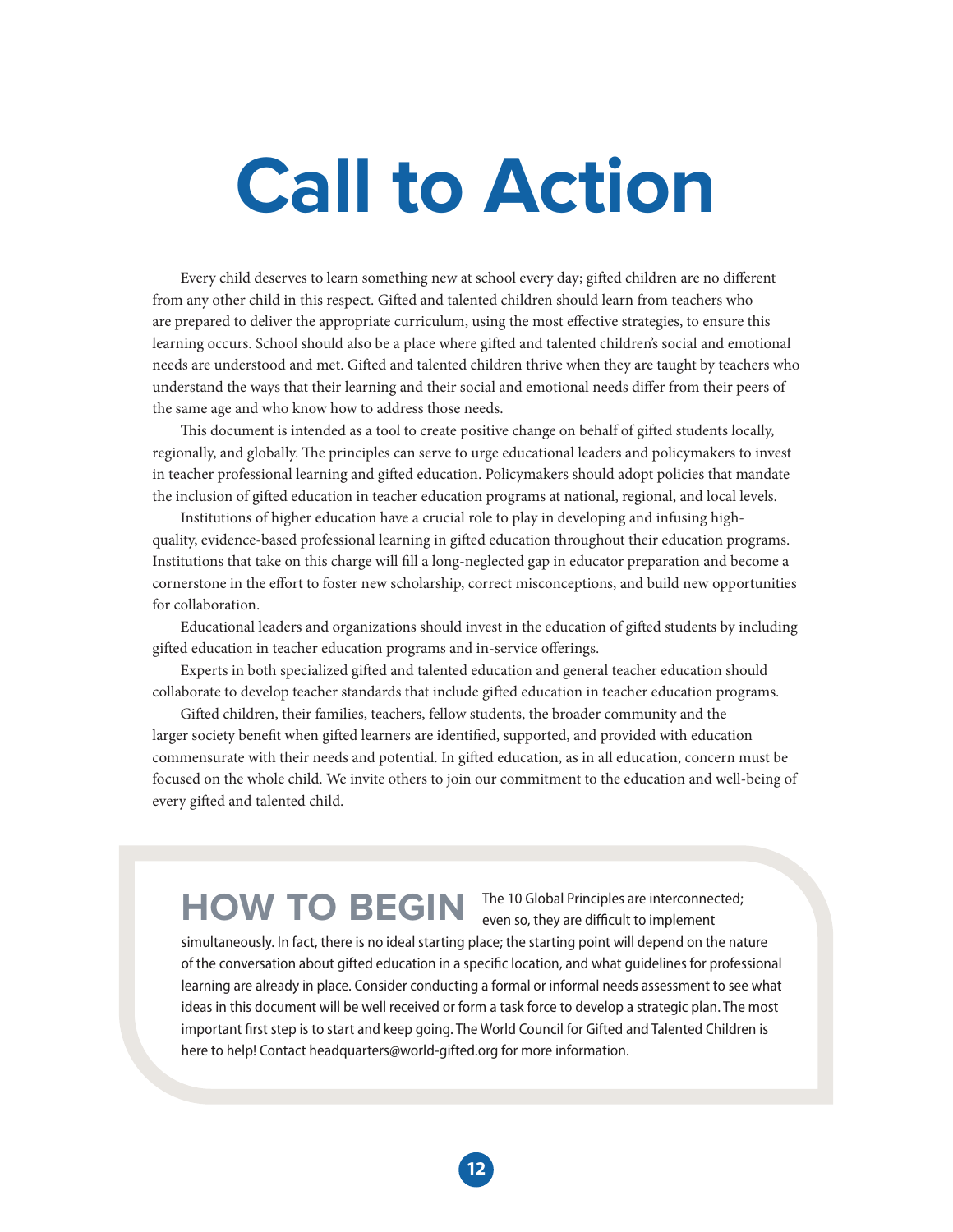# **Call to Action**

Every child deserves to learn something new at school every day; gifted children are no different from any other child in this respect. Gifted and talented children should learn from teachers who are prepared to deliver the appropriate curriculum, using the most effective strategies, to ensure this learning occurs. School should also be a place where gifted and talented children's social and emotional needs are understood and met. Gifted and talented children thrive when they are taught by teachers who understand the ways that their learning and their social and emotional needs differ from their peers of the same age and who know how to address those needs.

This document is intended as a tool to create positive change on behalf of gifted students locally, regionally, and globally. The principles can serve to urge educational leaders and policymakers to invest in teacher professional learning and gifted education. Policymakers should adopt policies that mandate the inclusion of gifted education in teacher education programs at national, regional, and local levels.

Institutions of higher education have a crucial role to play in developing and infusing highquality, evidence-based professional learning in gifted education throughout their education programs. Institutions that take on this charge will fill a long-neglected gap in educator preparation and become a cornerstone in the effort to foster new scholarship, correct misconceptions, and build new opportunities for collaboration.

Educational leaders and organizations should invest in the education of gifted students by including gifted education in teacher education programs and in-service offerings.

Experts in both specialized gifted and talented education and general teacher education should collaborate to develop teacher standards that include gifted education in teacher education programs.

Gifted children, their families, teachers, fellow students, the broader community and the larger society benefit when gifted learners are identified, supported, and provided with education commensurate with their needs and potential. In gifted education, as in all education, concern must be focused on the whole child. We invite others to join our commitment to the education and well-being of every gifted and talented child.

## **HOW TO BEGIN**

The 10 Global Principles are interconnected; even so, they are difficult to implement

simultaneously. In fact, there is no ideal starting place; the starting point will depend on the nature of the conversation about gifted education in a specific location, and what guidelines for professional learning are already in place. Consider conducting a formal or informal needs assessment to see what ideas in this document will be well received or form a task force to develop a strategic plan. The most important first step is to start and keep going. The World Council for Gifted and Talented Children is here to help! Contact headquarters@world-gifted.org for more information.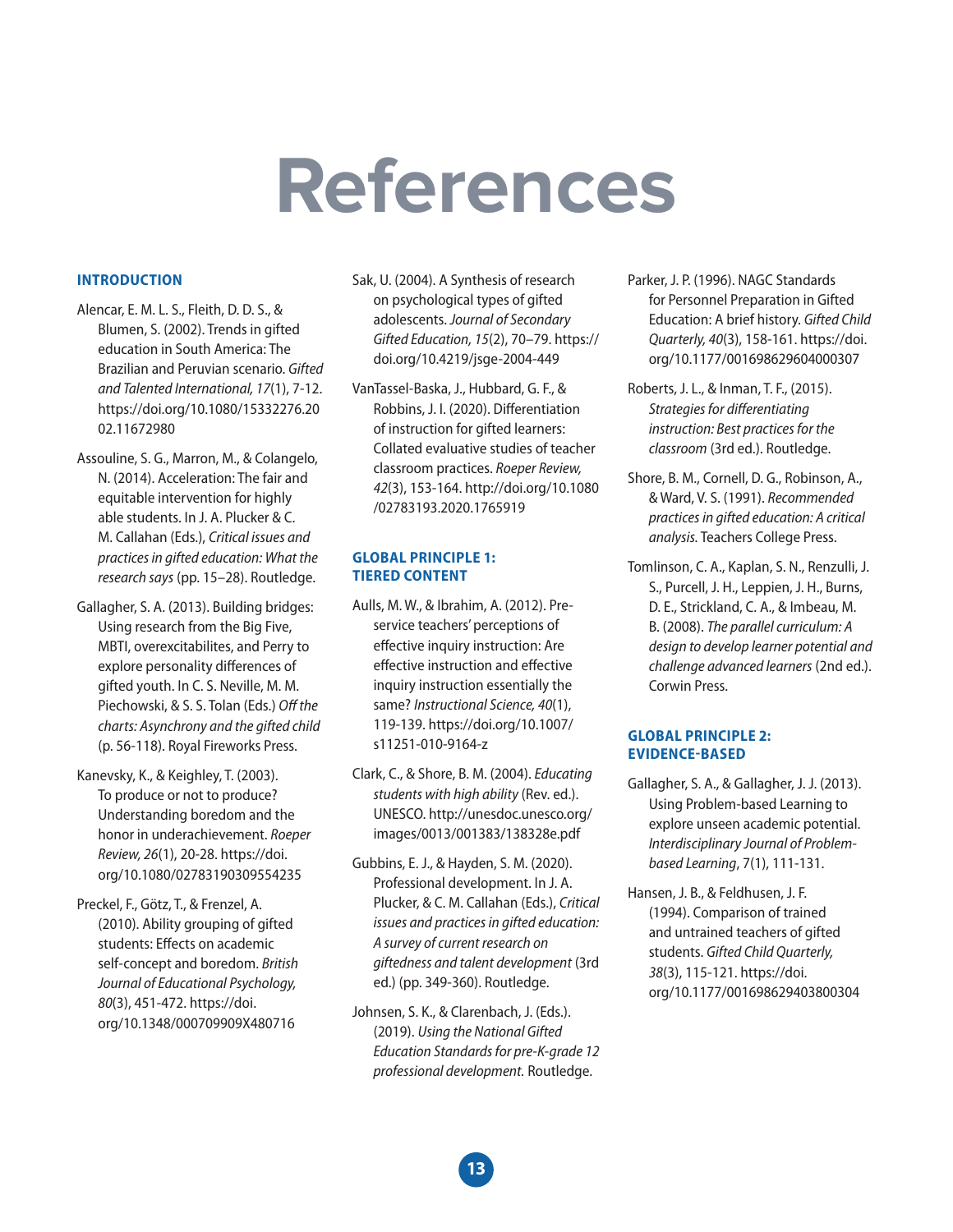## **References**

#### **INTRODUCTION**

- Alencar, E. M. L. S., Fleith, D. D. S., & Blumen, S. (2002). Trends in gifted education in South America: The Brazilian and Peruvian scenario. *Gifted and Talented International, 17*(1), 7-12. https://doi.org/10.1080/15332276.20 02.11672980
- Assouline, S. G., Marron, M., & Colangelo, N. (2014). Acceleration: The fair and equitable intervention for highly able students. In J. A. Plucker & C. M. Callahan (Eds.), *Critical issues and practices in gifted education: What the research says* (pp. 15–28). Routledge.
- Gallagher, S. A. (2013). Building bridges: Using research from the Big Five, MBTI, overexcitabilites, and Perry to explore personality differences of gifted youth. In C. S. Neville, M. M. Piechowski, & S. S. Tolan (Eds.) *O*ff *the charts: Asynchrony and the gifted child* (p. 56-118). Royal Fireworks Press.
- Kanevsky, K., & Keighley, T. (2003). To produce or not to produce? Understanding boredom and the honor in underachievement. *Roeper Review, 26*(1), 20-28. https://doi. org/10.1080/02783190309554235
- Preckel, F., Götz, T., & Frenzel, A. (2010). Ability grouping of gifted students: Effects on academic self-concept and boredom. *British Journal of Educational Psychology, 80*(3), 451-472. https://doi. org/10.1348/000709909X480716
- Sak, U. (2004). A Synthesis of research on psychological types of gifted adolescents. *Journal of Secondary Gifted Education, 15*(2), 70–79. https:// doi.org/10.4219/jsge-2004-449
- VanTassel-Baska, J., Hubbard, G. F., & Robbins, J. I. (2020). Differentiation of instruction for gifted learners: Collated evaluative studies of teacher classroom practices. *Roeper Review, 42*(3), 153-164. http://doi.org/10.1080 /02783193.2020.1765919

#### **GLOBAL PRINCIPLE 1: TIERED CONTENT**

- Aulls, M. W., & Ibrahim, A. (2012). Preservice teachers' perceptions of effective inquiry instruction: Are effective instruction and effective inquiry instruction essentially the same? *Instructional Science, 40*(1), 119-139. https://doi.org/10.1007/ s11251-010-9164-z
- Clark, C., & Shore, B. M. (2004). *Educating students with high ability* (Rev. ed.). UNESCO. http://unesdoc.unesco.org/ images/0013/001383/138328e.pdf
- Gubbins, E. J., & Hayden, S. M. (2020). Professional development. In J. A. Plucker, & C. M. Callahan (Eds.), *Critical issues and practices in gifted education: A survey of current research on giftedness and talent development* (3rd ed.) (pp. 349-360). Routledge.
- Johnsen, S. K., & Clarenbach, J. (Eds.). (2019). *Using the National Gifted Education Standards for pre-K-grade 12 professional development.* Routledge.
- Parker, J. P. (1996). NAGC Standards for Personnel Preparation in Gifted Education: A brief history. *Gifted Child Quarterly, 40*(3), 158-161. https://doi. org/10.1177/001698629604000307
- Roberts, J. L., & Inman, T. F., (2015). *Strategies for di*ff*erentiating instruction: Best practices for the classroom* (3rd ed.). Routledge.
- Shore, B. M., Cornell, D. G., Robinson, A., & Ward, V. S. (1991). *Recommended practices in gifted education: A critical analysis.* Teachers College Press.
- Tomlinson, C. A., Kaplan, S. N., Renzulli, J. S., Purcell, J. H., Leppien, J. H., Burns, D. E., Strickland, C. A., & Imbeau, M. B. (2008). *The parallel curriculum: A design to develop learner potential and challenge advanced learners* (2nd ed.). Corwin Press.

#### **GLOBAL PRINCIPLE 2: EVIDENCEBASED**

- Gallagher, S. A., & Gallagher, J. J. (2013). Using Problem-based Learning to explore unseen academic potential. *Interdisciplinary Journal of Problembased Learning*, 7(1), 111-131.
- Hansen, J. B., & Feldhusen, J. F. (1994). Comparison of trained and untrained teachers of gifted students. *Gifted Child Quarterly, 38*(3), 115-121. https://doi. org/10.1177/001698629403800304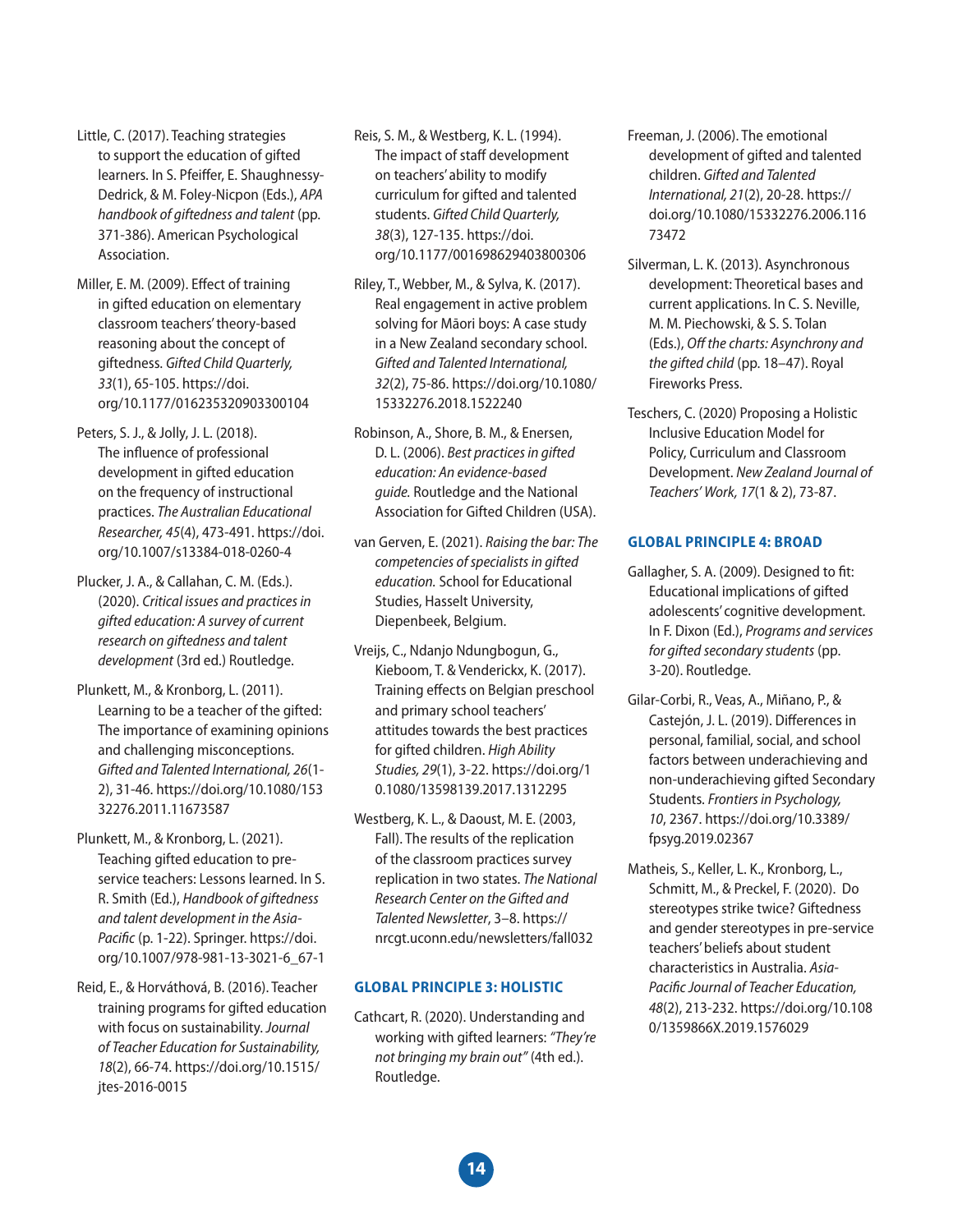Little, C. (2017). Teaching strategies to support the education of gifted learners. In S. Pfeiffer, E. Shaughnessy-Dedrick, & M. Foley-Nicpon (Eds.), *APA handbook of giftedness and talent* (pp. 371-386). American Psychological Association.

Miller, E. M. (2009). Effect of training in gifted education on elementary classroom teachers' theory-based reasoning about the concept of giftedness. *Gifted Child Quarterly, 33*(1), 65-105. https://doi. org/10.1177/016235320903300104

Peters, S. J., & Jolly, J. L. (2018). The influence of professional development in gifted education on the frequency of instructional practices. *The Australian Educational Researcher, 45*(4), 473-491. https://doi. org/10.1007/s13384-018-0260-4

Plucker, J. A., & Callahan, C. M. (Eds.). (2020). *Critical issues and practices in gifted education: A survey of current research on giftedness and talent development* (3rd ed.) Routledge.

Plunkett, M., & Kronborg, L. (2011). Learning to be a teacher of the gifted: The importance of examining opinions and challenging misconceptions. *Gifted and Talented International, 26*(1- 2), 31-46. https://doi.org/10.1080/153 32276.2011.11673587

Plunkett, M., & Kronborg, L. (2021). Teaching gifted education to preservice teachers: Lessons learned. In S. R. Smith (Ed.), *Handbook of giftedness and talent development in the Asia-Pacific* (p. 1-22). Springer. https://doi. org/10.1007/978-981-13-3021-6\_67-1

Reid, E., & Horváthová, B. (2016). Teacher training programs for gifted education with focus on sustainability. *Journal of Teacher Education for Sustainability, 18*(2), 66-74. https://doi.org/10.1515/ jtes-2016-0015

Reis, S. M., & Westberg, K. L. (1994). The impact of staff development on teachers' ability to modify curriculum for gifted and talented students. *Gifted Child Quarterly, 38*(3), 127-135. https://doi. org/10.1177/001698629403800306

Riley, T., Webber, M., & Sylva, K. (2017). Real engagement in active problem solving for Māori boys: A case study in a New Zealand secondary school. *Gifted and Talented International, 32*(2), 75-86. https://doi.org/10.1080/ 15332276.2018.1522240

Robinson, A., Shore, B. M., & Enersen, D. L. (2006). *Best practices in gifted education: An evidence-based guide.* Routledge and the National Association for Gifted Children (USA).

van Gerven, E. (2021). *Raising the bar: The competencies of specialists in gifted education.* School for Educational Studies, Hasselt University, Diepenbeek, Belgium.

Vreijs, C., Ndanjo Ndungbogun, G., Kieboom, T. & Venderickx, K. (2017). Training effects on Belgian preschool and primary school teachers' attitudes towards the best practices for gifted children. *High Ability Studies, 29*(1), 3-22. https://doi.org/1 0.1080/13598139.2017.1312295

Westberg, K. L., & Daoust, M. E. (2003, Fall). The results of the replication of the classroom practices survey replication in two states. *The National Research Center on the Gifted and Talented Newsletter*, 3–8. https:// nrcgt.uconn.edu/newsletters/fall032

#### **GLOBAL PRINCIPLE 3: HOLISTIC**

Cathcart, R. (2020). Understanding and working with gifted learners: *"They're not bringing my brain out"* (4th ed.). Routledge.

- Freeman, J. (2006). The emotional development of gifted and talented children. *Gifted and Talented International, 21*(2), 20-28. https:// doi.org/10.1080/15332276.2006.116 73472
- Silverman, L. K. (2013). Asynchronous development: Theoretical bases and current applications. In C. S. Neville, M. M. Piechowski, & S. S. Tolan (Eds.), *O*ff *the charts: Asynchrony and the gifted child* (pp. 18–47). Royal Fireworks Press.
- Teschers, C. (2020) Proposing a Holistic Inclusive Education Model for Policy, Curriculum and Classroom Development. *New Zealand Journal of Teachers' Work, 17*(1 & 2), 73-87.

#### **GLOBAL PRINCIPLE 4: BROAD**

- Gallagher, S. A. (2009). Designed to fit: Educational implications of gifted adolescents' cognitive development. In F. Dixon (Ed.), *Programs and services for gifted secondary students* (pp. 3-20). Routledge.
- Gilar-Corbi, R., Veas, A., Miñano, P., & Castejón, J. L. (2019). Differences in personal, familial, social, and school factors between underachieving and non-underachieving gifted Secondary Students. *Frontiers in Psychology, 10*, 2367. https://doi.org/10.3389/ fpsyg.2019.02367
- Matheis, S., Keller, L. K., Kronborg, L., Schmitt, M., & Preckel, F. (2020). Do stereotypes strike twice? Giftedness and gender stereotypes in pre-service teachers' beliefs about student characteristics in Australia. *Asia-Pacific Journal of Teacher Education, 48*(2), 213-232. https://doi.org/10.108 0/1359866X.2019.1576029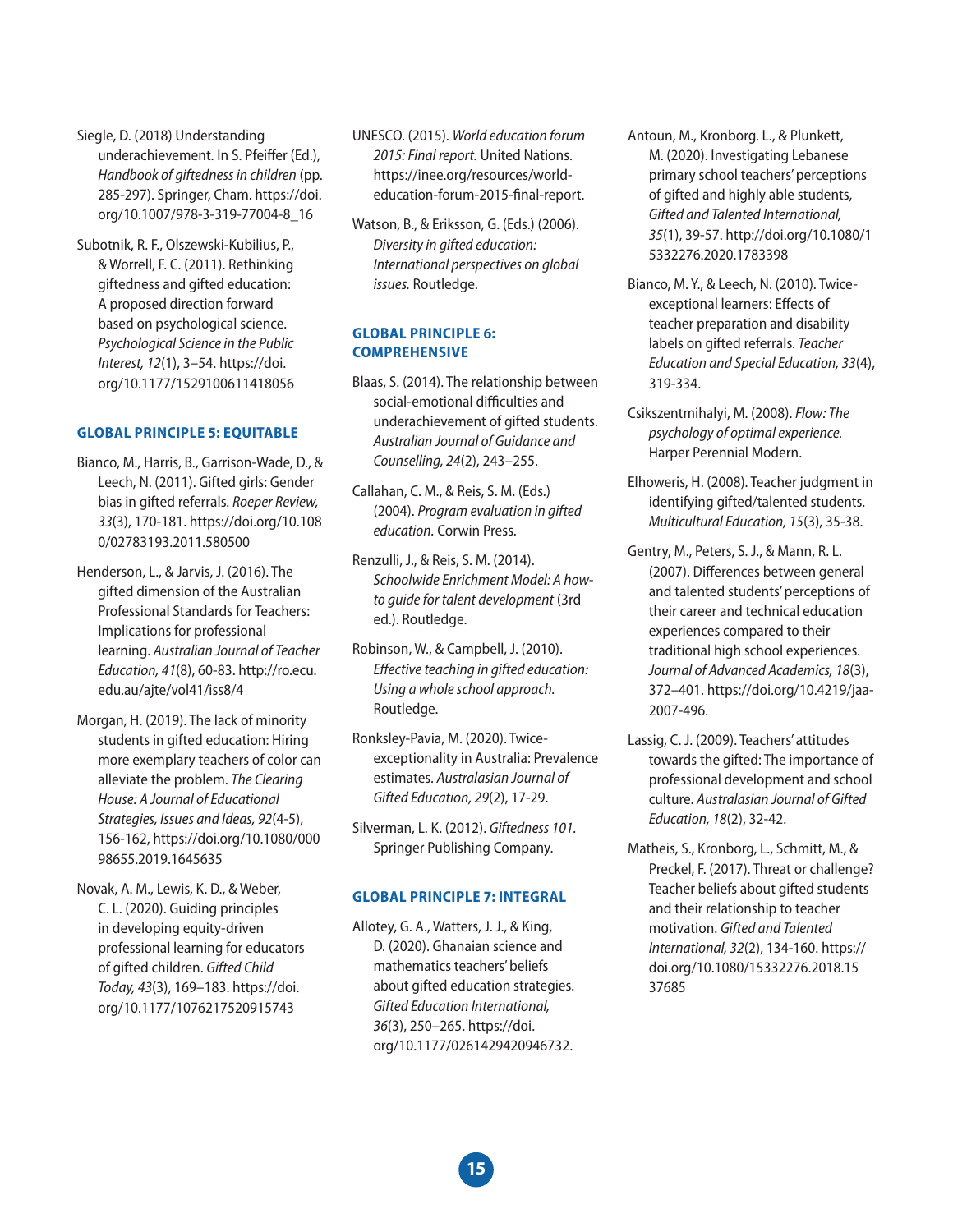Siegle, D. (2018) Understanding underachievement. In S. Pfeiffer (Ed.), *Handbook of giftedness in children* (pp. 285-297). Springer, Cham. https://doi. org/10.1007/978-3-319-77004-8\_16

Subotnik, R. F., Olszewski-Kubilius, P., & Worrell, F. C. (2011). Rethinking giftedness and gifted education: A proposed direction forward based on psychological science. *Psychological Science in the Public Interest, 12*(1), 3–54. https://doi. org/10.1177/1529100611418056

#### **GLOBAL PRINCIPLE 5: EQUITABLE**

- Bianco, M., Harris, B., Garrison-Wade, D., & Leech, N. (2011). Gifted girls: Gender bias in gifted referrals. *Roeper Review, 33*(3), 170-181. https://doi.org/10.108 0/02783193.2011.580500
- Henderson, L., & Jarvis, J. (2016). The gifted dimension of the Australian Professional Standards for Teachers: Implications for professional learning. *Australian Journal of Teacher Education, 41*(8), 60-83. http://ro.ecu. edu.au/ajte/vol41/iss8/4
- Morgan, H. (2019). The lack of minority students in gifted education: Hiring more exemplary teachers of color can alleviate the problem. *The Clearing House: A Journal of Educational Strategies, Issues and Ideas, 92*(4-5), 156-162, https://doi.org/10.1080/000 98655.2019.1645635
- Novak, A. M., Lewis, K. D., & Weber, C. L. (2020). Guiding principles in developing equity-driven professional learning for educators of gifted children. *Gifted Child Today, 43*(3), 169–183. https://doi. org/10.1177/1076217520915743
- UNESCO. (2015). *World education forum 2015: Final report.* United Nations. https://inee.org/resources/worldeducation-forum-2015-final-report.
- Watson, B., & Eriksson, G. (Eds.) (2006). *Diversity in gifted education: International perspectives on global issues.* Routledge.

#### **GLOBAL PRINCIPLE 6: COMPREHENSIVE**

- Blaas, S. (2014). The relationship between social-emotional difficulties and underachievement of gifted students. *Australian Journal of Guidance and Counselling, 24*(2), 243–255.
- Callahan, C. M., & Reis, S. M. (Eds.) (2004). *Program evaluation in gifted education.* Corwin Press.
- Renzulli, J., & Reis, S. M. (2014). *Schoolwide Enrichment Model: A howto guide for talent development* (3rd ed.). Routledge.
- Robinson, W., & Campbell, J. (2010). *E*ff*ective teaching in gifted education: Using a whole school approach.*  Routledge.
- Ronksley-Pavia, M. (2020). Twiceexceptionality in Australia: Prevalence estimates. *Australasian Journal of Gifted Education, 29*(2), 17-29.
- Silverman, L. K. (2012). *Giftedness 101.* Springer Publishing Company.

#### **GLOBAL PRINCIPLE 7: INTEGRAL**

Allotey, G. A., Watters, J. J., & King, D. (2020). Ghanaian science and mathematics teachers' beliefs about gifted education strategies. *Gifted Education International, 36*(3), 250–265. https://doi. org/10.1177/0261429420946732.

- Antoun, M., Kronborg. L., & Plunkett, M. (2020). Investigating Lebanese primary school teachers' perceptions of gifted and highly able students, *Gifted and Talented International, 35*(1), 39-57. http://doi.org/10.1080/1 5332276.2020.1783398
- Bianco, M. Y., & Leech, N. (2010). Twiceexceptional learners: Effects of teacher preparation and disability labels on gifted referrals. *Teacher Education and Special Education, 33*(4), 319-334.
- Csikszentmihalyi, M. (2008). *Flow: The psychology of optimal experience.* Harper Perennial Modern.
- Elhoweris, H. (2008). Teacher judgment in identifying gifted/talented students. *Multicultural Education, 15*(3), 35-38.
- Gentry, M., Peters, S. J., & Mann, R. L. (2007). Differences between general and talented students' perceptions of their career and technical education experiences compared to their traditional high school experiences. *Journal of Advanced Academics, 18*(3), 372–401. https://doi.org/10.4219/jaa-2007-496.
- Lassig, C. J. (2009). Teachers' attitudes towards the gifted: The importance of professional development and school culture. *Australasian Journal of Gifted Education, 18*(2), 32-42.
- Matheis, S., Kronborg, L., Schmitt, M., & Preckel, F. (2017). Threat or challenge? Teacher beliefs about gifted students and their relationship to teacher motivation. *Gifted and Talented International, 32*(2), 134-160. https:// doi.org/10.1080/15332276.2018.15 37685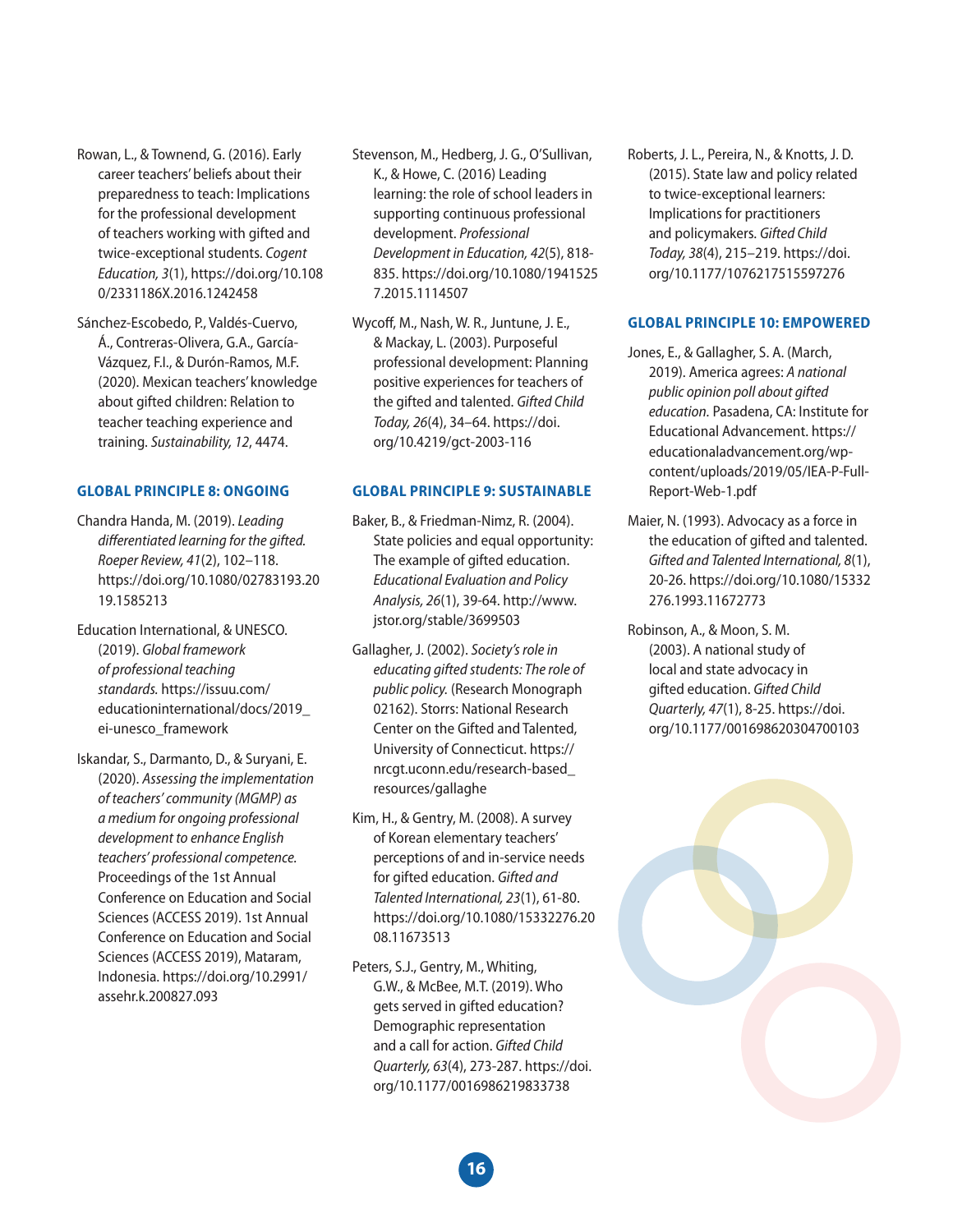- Rowan, L., & Townend, G. (2016). Early career teachers' beliefs about their preparedness to teach: Implications for the professional development of teachers working with gifted and twice-exceptional students. *Cogent Education, 3*(1), https://doi.org/10.108 0/2331186X.2016.1242458
- Sánchez-Escobedo, P., Valdés-Cuervo, Á., Contreras-Olivera, G.A., García-Vázquez, F.I., & Durón-Ramos, M.F. (2020). Mexican teachers' knowledge about gifted children: Relation to teacher teaching experience and training. *Sustainability, 12*, 4474.

#### **GLOBAL PRINCIPLE 8: ONGOING**

- Chandra Handa, M. (2019). *Leading di*ff*erentiated learning for the gifted. Roeper Review, 41*(2), 102–118. https://doi.org/10.1080/02783193.20 19.1585213
- Education International, & UNESCO. (2019). *Global framework of professional teaching standards.* https://issuu.com/ educationinternational/docs/2019\_ ei-unesco\_framework
- Iskandar, S., Darmanto, D., & Suryani, E. (2020). *Assessing the implementation of teachers' community (MGMP) as a medium for ongoing professional development to enhance English teachers' professional competence.* Proceedings of the 1st Annual Conference on Education and Social Sciences (ACCESS 2019). 1st Annual Conference on Education and Social Sciences (ACCESS 2019), Mataram, Indonesia. https://doi.org/10.2991/ assehr.k.200827.093
- Stevenson, M., Hedberg, J. G., O'Sullivan, K., & Howe, C. (2016) Leading learning: the role of school leaders in supporting continuous professional development. *Professional Development in Education, 42*(5), 818- 835. https://doi.org/10.1080/1941525 7.2015.1114507
- Wycoff, M., Nash, W. R., Juntune, J. E., & Mackay, L. (2003). Purposeful professional development: Planning positive experiences for teachers of the gifted and talented. *Gifted Child Today, 26*(4), 34–64. https://doi. org/10.4219/gct-2003-116

#### **GLOBAL PRINCIPLE 9: SUSTAINABLE**

- Baker, B., & Friedman-Nimz, R. (2004). State policies and equal opportunity: The example of gifted education. *Educational Evaluation and Policy Analysis, 26*(1), 39-64. http://www. jstor.org/stable/3699503
- Gallagher, J. (2002). *Society's role in educating gifted students: The role of public policy.* (Research Monograph 02162). Storrs: National Research Center on the Gifted and Talented, University of Connecticut. https:// nrcgt.uconn.edu/research-based\_ resources/gallaghe
- Kim, H., & Gentry, M. (2008). A survey of Korean elementary teachers' perceptions of and in-service needs for gifted education. *Gifted and Talented International, 23*(1), 61-80. https://doi.org/10.1080/15332276.20 08.11673513
- Peters, S.J., Gentry, M., Whiting, G.W., & McBee, M.T. (2019). Who gets served in gifted education? Demographic representation and a call for action. *Gifted Child Quarterly, 63*(4), 273-287. https://doi. org/10.1177/0016986219833738

Roberts, J. L., Pereira, N., & Knotts, J. D. (2015). State law and policy related to twice-exceptional learners: Implications for practitioners and policymakers. *Gifted Child Today, 38*(4), 215–219. https://doi. org/10.1177/1076217515597276

#### **GLOBAL PRINCIPLE 10: EMPOWERED**

- Jones, E., & Gallagher, S. A. (March, 2019). America agrees: *A national public opinion poll about gifted education.* Pasadena, CA: Institute for Educational Advancement. https:// educationaladvancement.org/wpcontent/uploads/2019/05/IEA-P-Full-Report-Web-1.pdf
- Maier, N. (1993). Advocacy as a force in the education of gifted and talented. *Gifted and Talented International, 8*(1), 20-26. https://doi.org/10.1080/15332 276.1993.11672773
- Robinson, A., & Moon, S. M. (2003). A national study of local and state advocacy in gifted education. *Gifted Child Quarterly, 47*(1), 8-25. https://doi. org/10.1177/001698620304700103

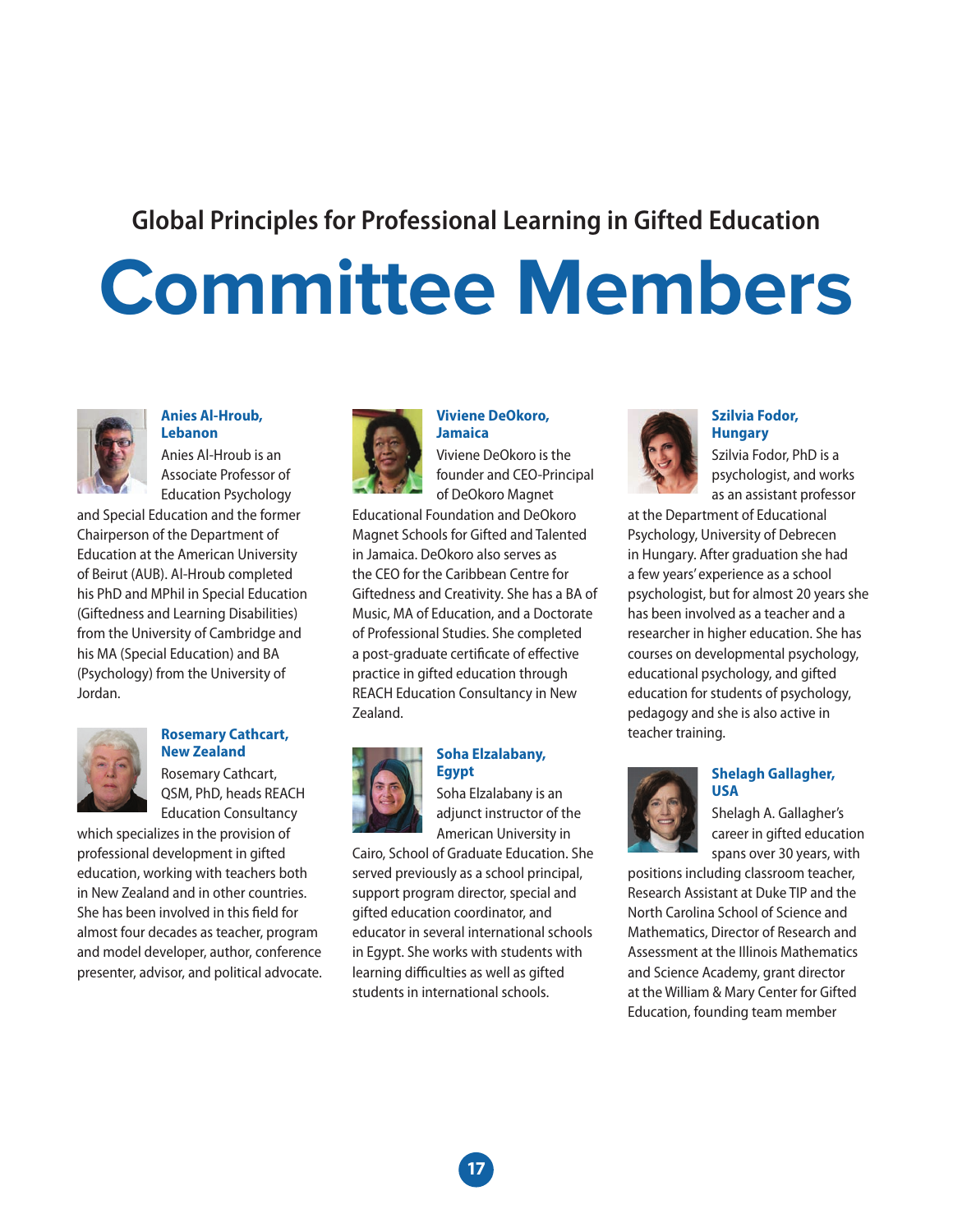### **Global Principles for Professional Learning in Gifted Education**

## **Committee Members**



#### **Anies Al-Hroub, Lebanon**

Anies Al-Hroub is an Associate Professor of Education Psychology

and Special Education and the former Chairperson of the Department of Education at the American University of Beirut (AUB). Al-Hroub completed his PhD and MPhil in Special Education (Giftedness and Learning Disabilities) from the University of Cambridge and his MA (Special Education) and BA (Psychology) from the University of Jordan.



#### **Rosemary Cathcart, New Zealand**

Rosemary Cathcart, QSM, PhD, heads REACH Education Consultancy

which specializes in the provision of professional development in gifted education, working with teachers both in New Zealand and in other countries. She has been involved in this field for almost four decades as teacher, program and model developer, author, conference presenter, advisor, and political advocate.



#### **Viviene DeOkoro, Jamaica**

Viviene DeOkoro is the founder and CEO-Principal of DeOkoro Magnet

Educational Foundation and DeOkoro Magnet Schools for Gifted and Talented in Jamaica. DeOkoro also serves as the CEO for the Caribbean Centre for Giftedness and Creativity. She has a BA of Music, MA of Education, and a Doctorate of Professional Studies. She completed a post-graduate certificate of effective practice in gifted education through REACH Education Consultancy in New Zealand.



#### **Soha Elzalabany, Egypt**

Soha Elzalabany is an adjunct instructor of the American University in

Cairo, School of Graduate Education. She served previously as a school principal, support program director, special and gifted education coordinator, and educator in several international schools in Egypt. She works with students with learning difficulties as well as gifted students in international schools.



#### **Szilvia Fodor, Hungary**

Szilvia Fodor, PhD is a psychologist, and works as an assistant professor

at the Department of Educational Psychology, University of Debrecen in Hungary. After graduation she had a few years' experience as a school psychologist, but for almost 20 years she has been involved as a teacher and a researcher in higher education. She has courses on developmental psychology, educational psychology, and gifted education for students of psychology, pedagogy and she is also active in teacher training.



#### **Shelagh Gallagher, USA**

Shelagh A. Gallagher's career in gifted education spans over 30 years, with

positions including classroom teacher, Research Assistant at Duke TIP and the North Carolina School of Science and Mathematics, Director of Research and Assessment at the Illinois Mathematics and Science Academy, grant director at the William & Mary Center for Gifted Education, founding team member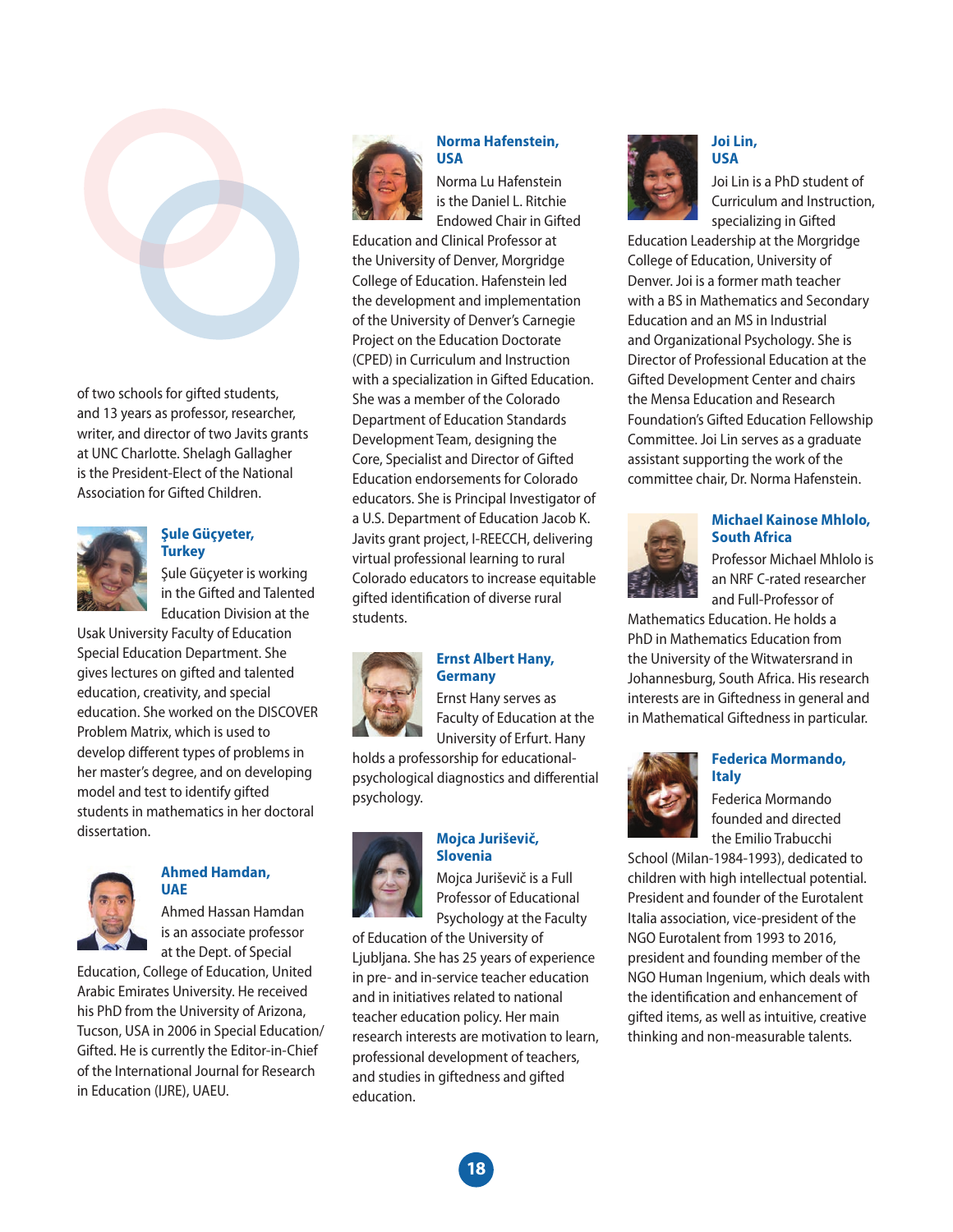

of two schools for gifted students, and 13 years as professor, researcher, writer, and director of two Javits grants at UNC Charlotte. Shelagh Gallagher is the President-Elect of the National Association for Gifted Children.



#### **Şule Güçyeter, Turkey**

Şule Güçyeter is working in the Gifted and Talented Education Division at the

Usak University Faculty of Education Special Education Department. She gives lectures on gifted and talented education, creativity, and special education. She worked on the DISCOVER Problem Matrix, which is used to develop different types of problems in her master's degree, and on developing model and test to identify gifted students in mathematics in her doctoral dissertation.



#### **Ahmed Hamdan, UAE**

Ahmed Hassan Hamdan is an associate professor at the Dept. of Special

Education, College of Education, United Arabic Emirates University. He received his PhD from the University of Arizona, Tucson, USA in 2006 in Special Education/ Gifted. He is currently the Editor-in-Chief of the International Journal for Research in Education (IJRE), UAEU.



#### **Norma Hafenstein, USA**

Norma Lu Hafenstein is the Daniel L. Ritchie Endowed Chair in Gifted

Education and Clinical Professor at the University of Denver, Morgridge College of Education. Hafenstein led the development and implementation of the University of Denver's Carnegie Project on the Education Doctorate (CPED) in Curriculum and Instruction with a specialization in Gifted Education. She was a member of the Colorado Department of Education Standards Development Team, designing the Core, Specialist and Director of Gifted Education endorsements for Colorado educators. She is Principal Investigator of a U.S. Department of Education Jacob K. Javits grant project, I-REECCH, delivering virtual professional learning to rural Colorado educators to increase equitable gifted identification of diverse rural students.



#### **Ernst Albert Hany, Germany**

Ernst Hany serves as Faculty of Education at the University of Erfurt. Hany

holds a professorship for educationalpsychological diagnostics and differential psychology.

#### **Mojca Juriševič, Slovenia**



Mojca Juriševič is a Full Professor of Educational Psychology at the Faculty

of Education of the University of Ljubljana. She has 25 years of experience in pre- and in-service teacher education and in initiatives related to national teacher education policy. Her main research interests are motivation to learn, professional development of teachers, and studies in giftedness and gifted education.



#### **Joi Lin, USA**

Joi Lin is a PhD student of Curriculum and Instruction, specializing in Gifted

Education Leadership at the Morgridge College of Education, University of Denver. Joi is a former math teacher with a BS in Mathematics and Secondary Education and an MS in Industrial and Organizational Psychology. She is Director of Professional Education at the Gifted Development Center and chairs the Mensa Education and Research Foundation's Gifted Education Fellowship Committee. Joi Lin serves as a graduate assistant supporting the work of the committee chair, Dr. Norma Hafenstein.



#### **Michael Kainose Mhlolo, South Africa**

Professor Michael Mhlolo is an NRF C-rated researcher and Full-Professor of

Mathematics Education. He holds a PhD in Mathematics Education from the University of the Witwatersrand in Johannesburg, South Africa. His research interests are in Giftedness in general and in Mathematical Giftedness in particular.



#### **Federica Mormando, Italy**

Federica Mormando founded and directed the Emilio Trabucchi

School (Milan-1984-1993), dedicated to children with high intellectual potential. President and founder of the Eurotalent Italia association, vice-president of the NGO Eurotalent from 1993 to 2016, president and founding member of the NGO Human Ingenium, which deals with the identification and enhancement of gifted items, as well as intuitive, creative thinking and non-measurable talents.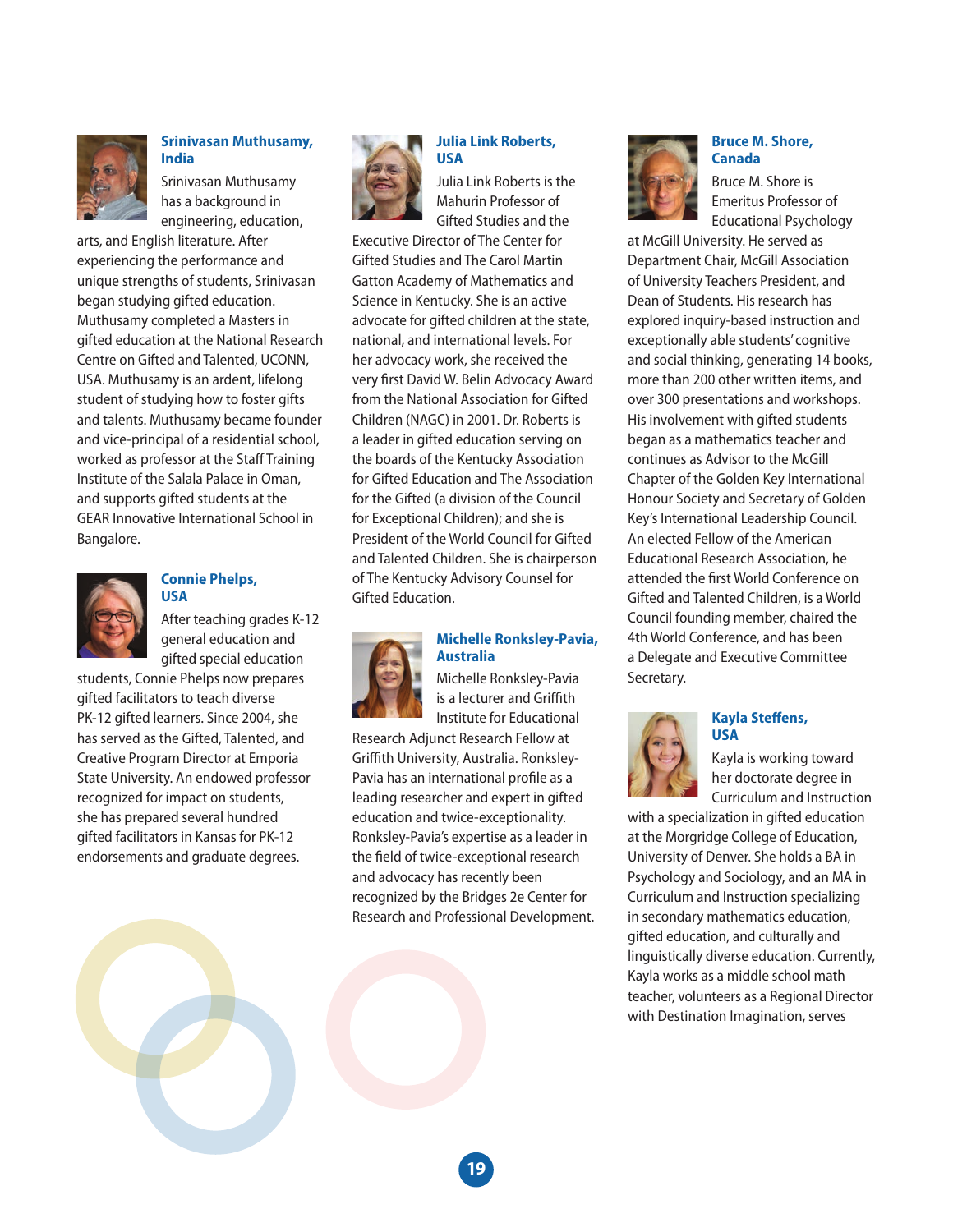

#### **Srinivasan Muthusamy, India**

Srinivasan Muthusamy has a background in engineering, education,

arts, and English literature. After experiencing the performance and unique strengths of students, Srinivasan began studying gifted education. Muthusamy completed a Masters in gifted education at the National Research Centre on Gifted and Talented, UCONN, USA. Muthusamy is an ardent, lifelong student of studying how to foster gifts and talents. Muthusamy became founder and vice-principal of a residential school, worked as professor at the Staff Training Institute of the Salala Palace in Oman, and supports gifted students at the GEAR Innovative International School in Bangalore.



#### **Connie Phelps, USA**

After teaching grades K-12 general education and gifted special education

students, Connie Phelps now prepares gifted facilitators to teach diverse PK-12 gifted learners. Since 2004, she has served as the Gifted, Talented, and Creative Program Director at Emporia State University. An endowed professor recognized for impact on students, she has prepared several hundred gifted facilitators in Kansas for PK-12 endorsements and graduate degrees.



#### **Julia Link Roberts, USA**

Julia Link Roberts is the Mahurin Professor of Gifted Studies and the

Executive Director of The Center for Gifted Studies and The Carol Martin Gatton Academy of Mathematics and Science in Kentucky. She is an active advocate for gifted children at the state, national, and international levels. For her advocacy work, she received the very first David W. Belin Advocacy Award from the National Association for Gifted Children (NAGC) in 2001. Dr. Roberts is a leader in gifted education serving on the boards of the Kentucky Association for Gifted Education and The Association for the Gifted (a division of the Council for Exceptional Children); and she is President of the World Council for Gifted and Talented Children. She is chairperson of The Kentucky Advisory Counsel for Gifted Education.

#### **Michelle Ronksley-Pavia, Australia**

Michelle Ronksley-Pavia is a lecturer and Griffith Institute for Educational

Research Adjunct Research Fellow at Griffith University, Australia. Ronksley-Pavia has an international profile as a leading researcher and expert in gifted education and twice-exceptionality. Ronksley-Pavia's expertise as a leader in the field of twice-exceptional research and advocacy has recently been recognized by the Bridges 2e Center for Research and Professional Development.



#### **Bruce M. Shore, Canada**

Bruce M. Shore is Emeritus Professor of Educational Psychology

at McGill University. He served as Department Chair, McGill Association of University Teachers President, and Dean of Students. His research has explored inquiry-based instruction and exceptionally able students' cognitive and social thinking, generating 14 books, more than 200 other written items, and over 300 presentations and workshops. His involvement with gifted students began as a mathematics teacher and continues as Advisor to the McGill Chapter of the Golden Key International Honour Society and Secretary of Golden Key's International Leadership Council. An elected Fellow of the American Educational Research Association, he attended the first World Conference on Gifted and Talented Children, is a World Council founding member, chaired the 4th World Conference, and has been a Delegate and Executive Committee Secretary.



#### **Kayla Steffens, USA**

Kayla is working toward her doctorate degree in Curriculum and Instruction

with a specialization in gifted education at the Morgridge College of Education, University of Denver. She holds a BA in Psychology and Sociology, and an MA in Curriculum and Instruction specializing in secondary mathematics education, gifted education, and culturally and linguistically diverse education. Currently, Kayla works as a middle school math teacher, volunteers as a Regional Director with Destination Imagination, serves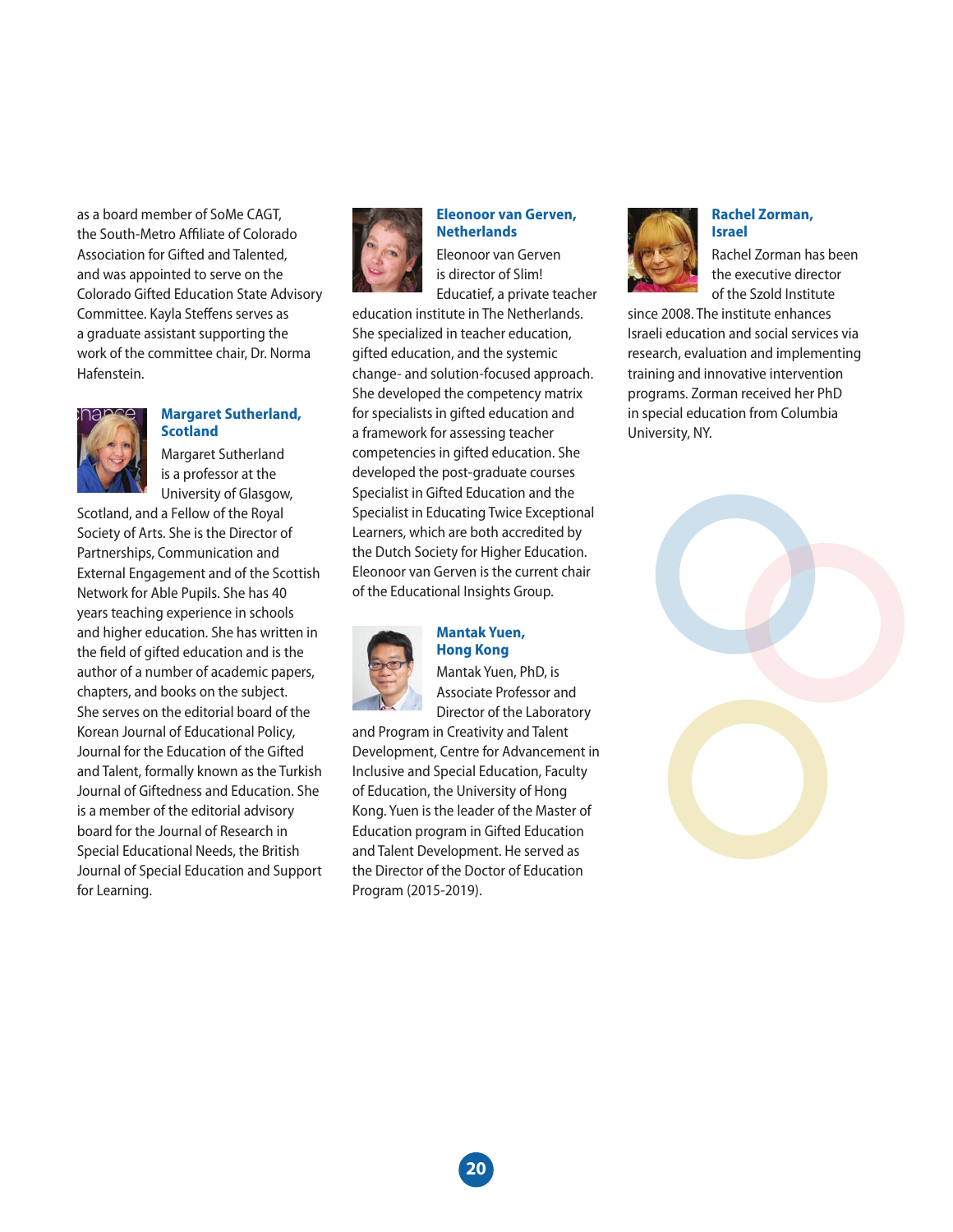as a board member of SoMe CAGT, the South-Metro Affiliate of Colorado Association for Gifted and Talented, and was appointed to serve on the Colorado Gifted Education State Advisory Committee. Kayla Steffens serves as a graduate assistant supporting the work of the committee chair, Dr. Norma Hafenstein.



#### **Margaret Sutherland, Scotland**

Margaret Sutherland is a professor at the University of Glasgow,

Scotland, and a Fellow of the Royal Society of Arts. She is the Director of Partnerships, Communication and External Engagement and of the Scottish Network for Able Pupils. She has 40 years teaching experience in schools and higher education. She has written in the field of gifted education and is the author of a number of academic papers, chapters, and books on the subject. She serves on the editorial board of the Korean Journal of Educational Policy, Journal for the Education of the Gifted and Talent, formally known as the Turkish Journal of Giftedness and Education. She is a member of the editorial advisory board for the Journal of Research in Special Educational Needs, the British Journal of Special Education and Support for Learning.



#### **Eleonoor van Gerven, Netherlands**

Eleonoor van Gerven is director of Slim! Educatief, a private teacher

education institute in The Netherlands. She specialized in teacher education, gifted education, and the systemic change- and solution-focused approach. She developed the competency matrix for specialists in gifted education and a framework for assessing teacher competencies in gifted education. She developed the post-graduate courses Specialist in Gifted Education and the Specialist in Educating Twice Exceptional Learners, which are both accredited by the Dutch Society for Higher Education. Eleonoor van Gerven is the current chair of the Educational Insights Group.



#### **Mantak Yuen, Hong Kong**

Mantak Yuen, PhD, is Associate Professor and Director of the Laboratory

and Program in Creativity and Talent Development, Centre for Advancement in Inclusive and Special Education, Faculty of Education, the University of Hong Kong. Yuen is the leader of the Master of Education program in Gifted Education and Talent Development. He served as the Director of the Doctor of Education Program (2015-2019).



#### **Rachel Zorman, Israel**

Rachel Zorman has been the executive director of the Szold Institute

since 2008. The institute enhances Israeli education and social services via research, evaluation and implementing training and innovative intervention programs. Zorman received her PhD in special education from Columbia University, NY.

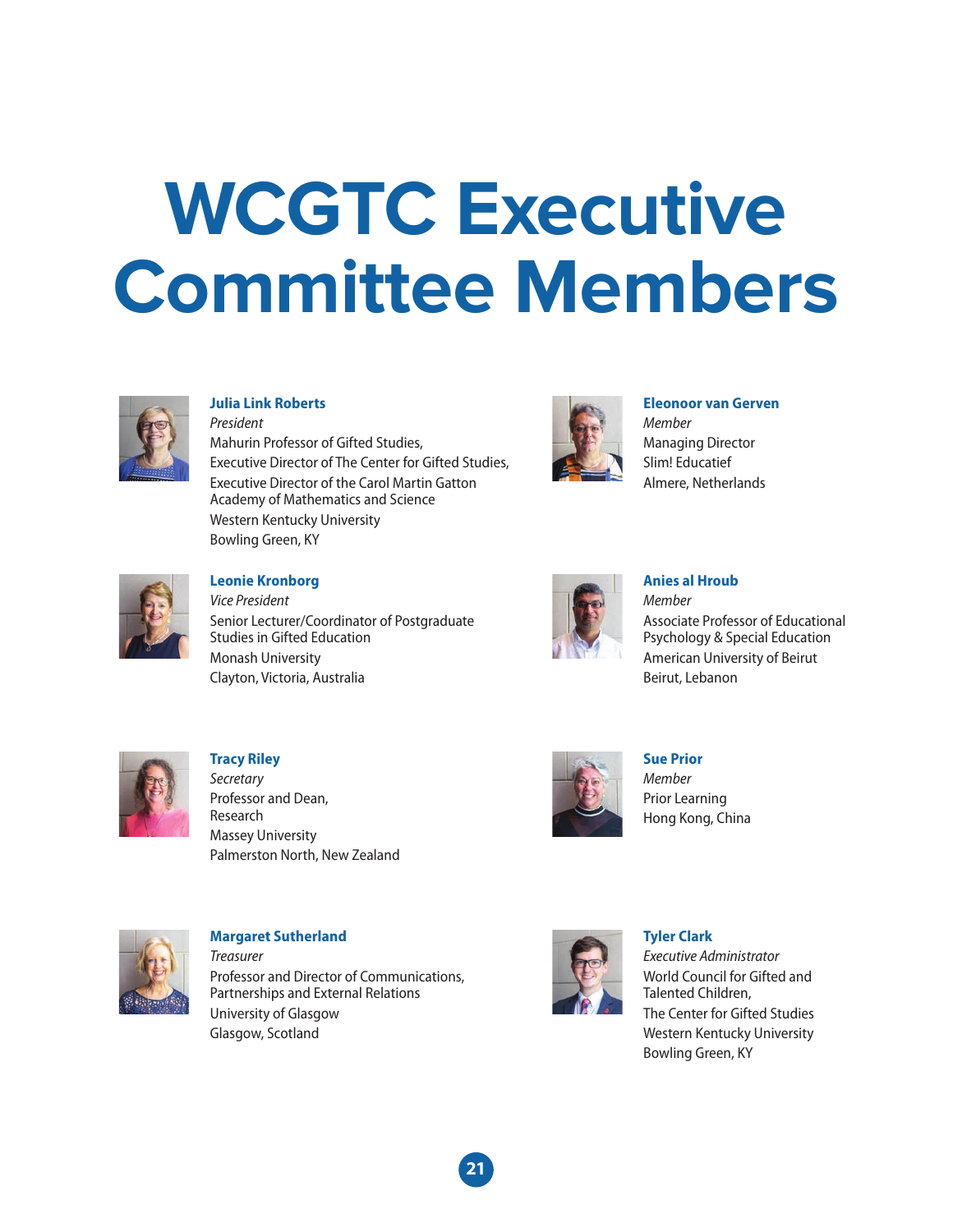# **WCGTC Executive Committee Members**



#### **Julia Link Roberts**

*President* Mahurin Professor of Gifted Studies, Executive Director of The Center for Gifted Studies, Executive Director of the Carol Martin Gatton Academy of Mathematics and Science Western Kentucky University Bowling Green, KY



#### **Eleonoor van Gerven** *Member*

Managing Director Slim! Educatief Almere, Netherlands



#### **Leonie Kronborg** *Vice President*

Senior Lecturer/Coordinator of Postgraduate Studies in Gifted Education Monash University Clayton, Victoria, Australia



#### **Anies al Hroub**

*Member* Associate Professor of Educational Psychology & Special Education American University of Beirut Beirut, Lebanon



**Tracy Riley** *Secretary* Professor and Dean, Research Massey University Palmerston North, New Zealand



**Sue Prior** *Member* Prior Learning Hong Kong, China



**Margaret Sutherland** *Treasurer* Professor and Director of Communications, Partnerships and External Relations University of Glasgow Glasgow, Scotland



### **Tyler Clark**

*Executive Administrator* World Council for Gifted and Talented Children, The Center for Gifted Studies Western Kentucky University Bowling Green, KY